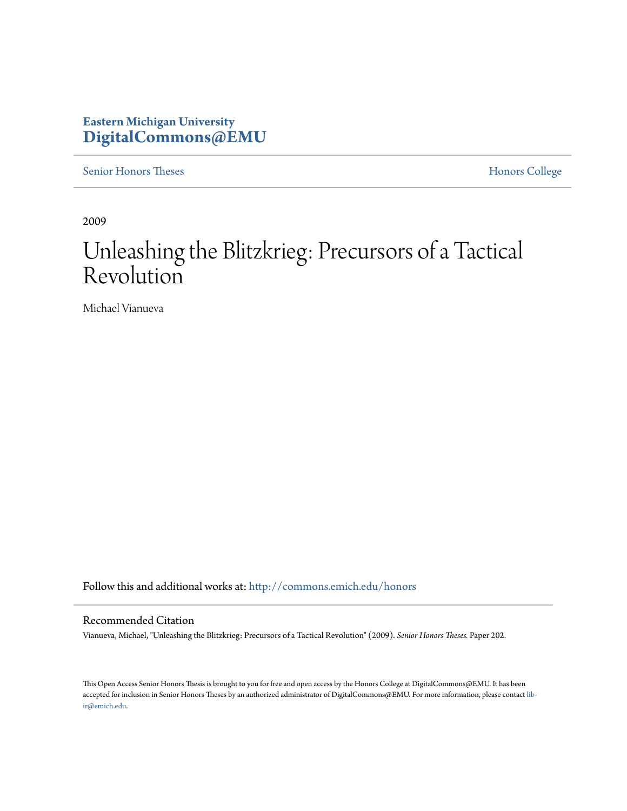## **Eastern Michigan University [DigitalCommons@EMU](http://commons.emich.edu?utm_source=commons.emich.edu%2Fhonors%2F202&utm_medium=PDF&utm_campaign=PDFCoverPages)**

[Senior Honors Theses](http://commons.emich.edu/honors?utm_source=commons.emich.edu%2Fhonors%2F202&utm_medium=PDF&utm_campaign=PDFCoverPages) [Honors College](http://commons.emich.edu/honorscollege?utm_source=commons.emich.edu%2Fhonors%2F202&utm_medium=PDF&utm_campaign=PDFCoverPages)

2009

# Unleashing the Blitzkrieg: Precursors of a Tactical Revolution

Michael Vianueva

Follow this and additional works at: [http://commons.emich.edu/honors](http://commons.emich.edu/honors?utm_source=commons.emich.edu%2Fhonors%2F202&utm_medium=PDF&utm_campaign=PDFCoverPages)

#### Recommended Citation

Vianueva, Michael, "Unleashing the Blitzkrieg: Precursors of a Tactical Revolution" (2009). *Senior Honors Theses.* Paper 202.

This Open Access Senior Honors Thesis is brought to you for free and open access by the Honors College at DigitalCommons@EMU. It has been accepted for inclusion in Senior Honors Theses by an authorized administrator of DigitalCommons@EMU. For more information, please contact [lib](mailto:lib-ir@emich.edu)[ir@emich.edu](mailto:lib-ir@emich.edu).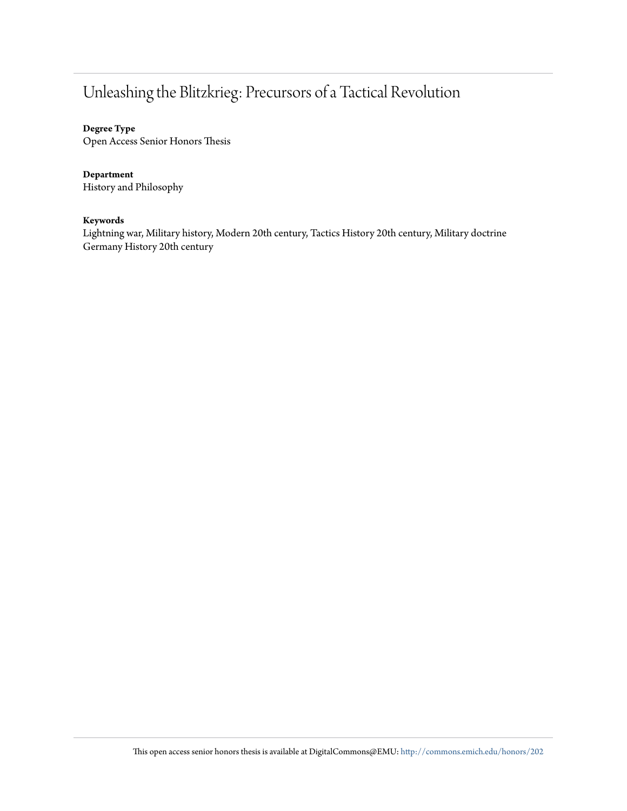## Unleashing the Blitzkrieg: Precursors of a Tactical Revolution

#### **Degree Type**

Open Access Senior Honors Thesis

#### **Department**

History and Philosophy

#### **Keywords**

Lightning war, Military history, Modern 20th century, Tactics History 20th century, Military doctrine Germany History 20th century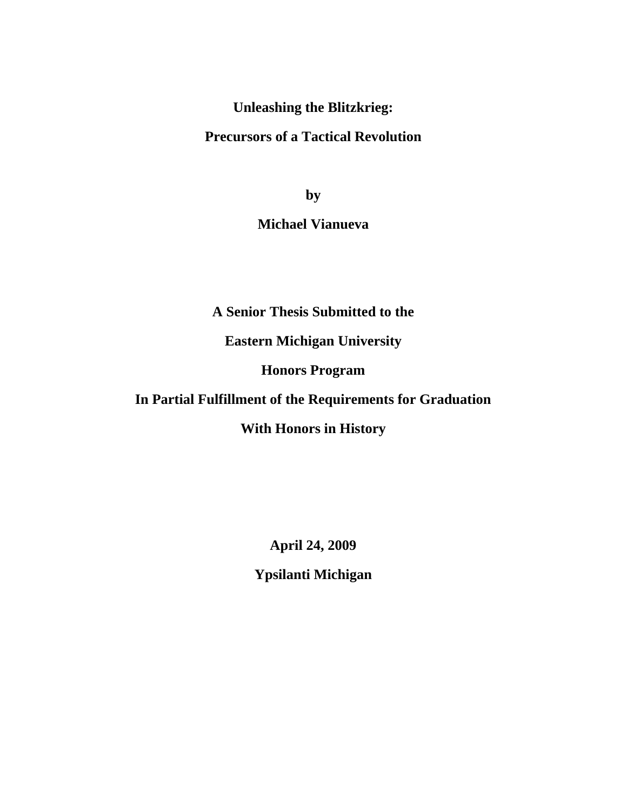**Unleashing the Blitzkrieg:** 

## **Precursors of a Tactical Revolution**

**by** 

## **Michael Vianueva**

**A Senior Thesis Submitted to the** 

**Eastern Michigan University** 

**Honors Program** 

## **In Partial Fulfillment of the Requirements for Graduation**

### **With Honors in History**

**April 24, 2009** 

**Ypsilanti Michigan**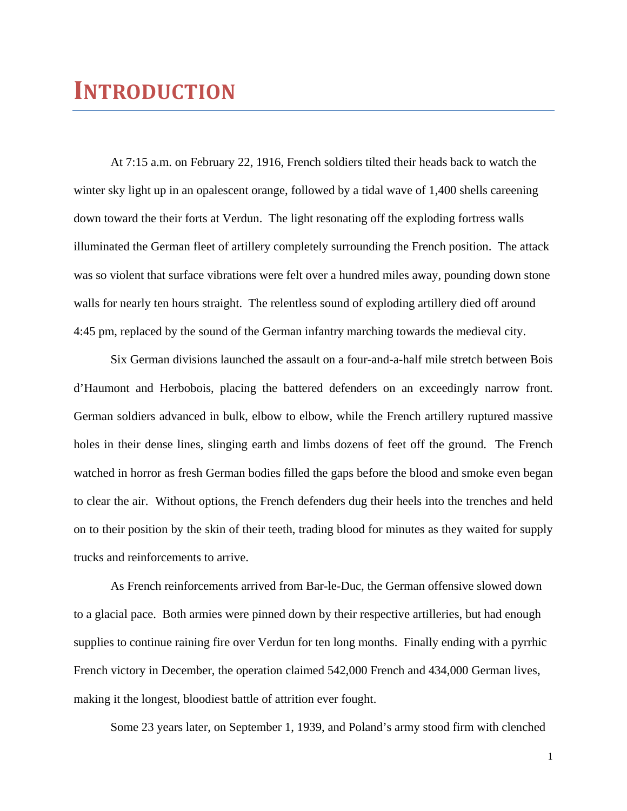# **INTRODUCTION**

At 7:15 a.m. on February 22, 1916, French soldiers tilted their heads back to watch the winter sky light up in an opalescent orange, followed by a tidal wave of 1,400 shells careening down toward the their forts at Verdun. The light resonating off the exploding fortress walls illuminated the German fleet of artillery completely surrounding the French position. The attack was so violent that surface vibrations were felt over a hundred miles away, pounding down stone walls for nearly ten hours straight. The relentless sound of exploding artillery died off around 4:45 pm, replaced by the sound of the German infantry marching towards the medieval city.

 Six German divisions launched the assault on a four-and-a-half mile stretch between Bois d'Haumont and Herbobois, placing the battered defenders on an exceedingly narrow front. German soldiers advanced in bulk, elbow to elbow, while the French artillery ruptured massive holes in their dense lines, slinging earth and limbs dozens of feet off the ground. The French watched in horror as fresh German bodies filled the gaps before the blood and smoke even began to clear the air. Without options, the French defenders dug their heels into the trenches and held on to their position by the skin of their teeth, trading blood for minutes as they waited for supply trucks and reinforcements to arrive.

 As French reinforcements arrived from Bar-le-Duc, the German offensive slowed down to a glacial pace. Both armies were pinned down by their respective artilleries, but had enough supplies to continue raining fire over Verdun for ten long months. Finally ending with a pyrrhic French victory in December, the operation claimed 542,000 French and 434,000 German lives, making it the longest, bloodiest battle of attrition ever fought.

Some 23 years later, on September 1, 1939, and Poland's army stood firm with clenched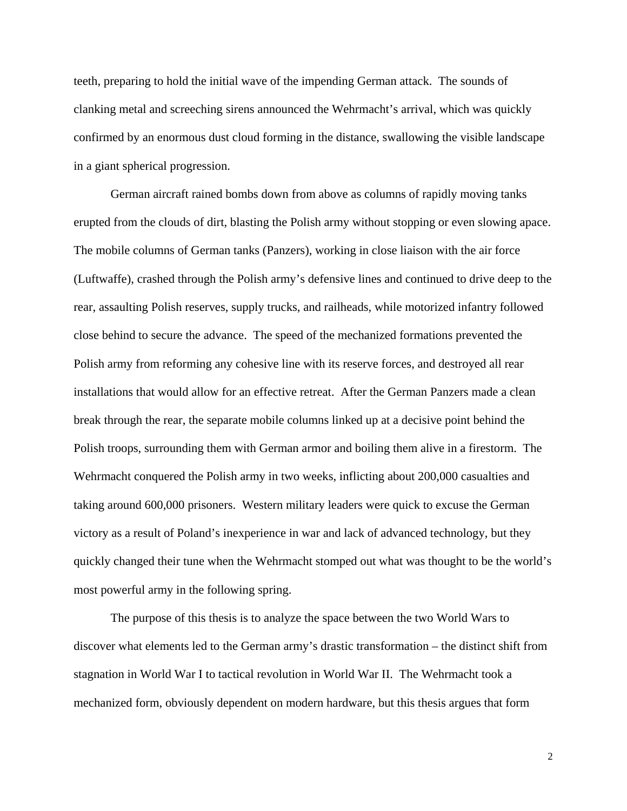teeth, preparing to hold the initial wave of the impending German attack. The sounds of clanking metal and screeching sirens announced the Wehrmacht's arrival, which was quickly confirmed by an enormous dust cloud forming in the distance, swallowing the visible landscape in a giant spherical progression.

 German aircraft rained bombs down from above as columns of rapidly moving tanks erupted from the clouds of dirt, blasting the Polish army without stopping or even slowing apace. The mobile columns of German tanks (Panzers), working in close liaison with the air force (Luftwaffe), crashed through the Polish army's defensive lines and continued to drive deep to the rear, assaulting Polish reserves, supply trucks, and railheads, while motorized infantry followed close behind to secure the advance. The speed of the mechanized formations prevented the Polish army from reforming any cohesive line with its reserve forces, and destroyed all rear installations that would allow for an effective retreat. After the German Panzers made a clean break through the rear, the separate mobile columns linked up at a decisive point behind the Polish troops, surrounding them with German armor and boiling them alive in a firestorm. The Wehrmacht conquered the Polish army in two weeks, inflicting about 200,000 casualties and taking around 600,000 prisoners. Western military leaders were quick to excuse the German victory as a result of Poland's inexperience in war and lack of advanced technology, but they quickly changed their tune when the Wehrmacht stomped out what was thought to be the world's most powerful army in the following spring.

 The purpose of this thesis is to analyze the space between the two World Wars to discover what elements led to the German army's drastic transformation – the distinct shift from stagnation in World War I to tactical revolution in World War II. The Wehrmacht took a mechanized form, obviously dependent on modern hardware, but this thesis argues that form

2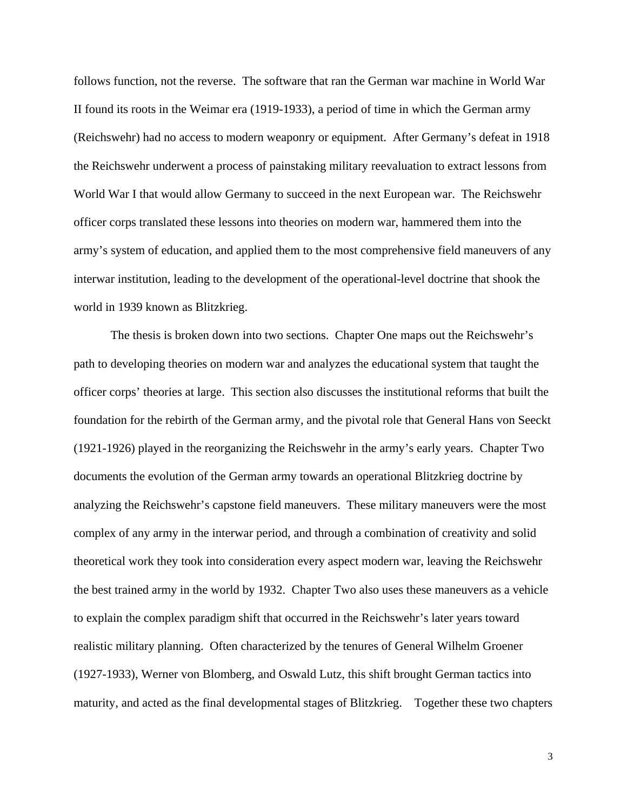follows function, not the reverse. The software that ran the German war machine in World War II found its roots in the Weimar era (1919-1933), a period of time in which the German army (Reichswehr) had no access to modern weaponry or equipment. After Germany's defeat in 1918 the Reichswehr underwent a process of painstaking military reevaluation to extract lessons from World War I that would allow Germany to succeed in the next European war. The Reichswehr officer corps translated these lessons into theories on modern war, hammered them into the army's system of education, and applied them to the most comprehensive field maneuvers of any interwar institution, leading to the development of the operational-level doctrine that shook the world in 1939 known as Blitzkrieg.

 The thesis is broken down into two sections. Chapter One maps out the Reichswehr's path to developing theories on modern war and analyzes the educational system that taught the officer corps' theories at large. This section also discusses the institutional reforms that built the foundation for the rebirth of the German army, and the pivotal role that General Hans von Seeckt (1921-1926) played in the reorganizing the Reichswehr in the army's early years. Chapter Two documents the evolution of the German army towards an operational Blitzkrieg doctrine by analyzing the Reichswehr's capstone field maneuvers. These military maneuvers were the most complex of any army in the interwar period, and through a combination of creativity and solid theoretical work they took into consideration every aspect modern war, leaving the Reichswehr the best trained army in the world by 1932. Chapter Two also uses these maneuvers as a vehicle to explain the complex paradigm shift that occurred in the Reichswehr's later years toward realistic military planning. Often characterized by the tenures of General Wilhelm Groener (1927-1933), Werner von Blomberg, and Oswald Lutz, this shift brought German tactics into maturity, and acted as the final developmental stages of Blitzkrieg. Together these two chapters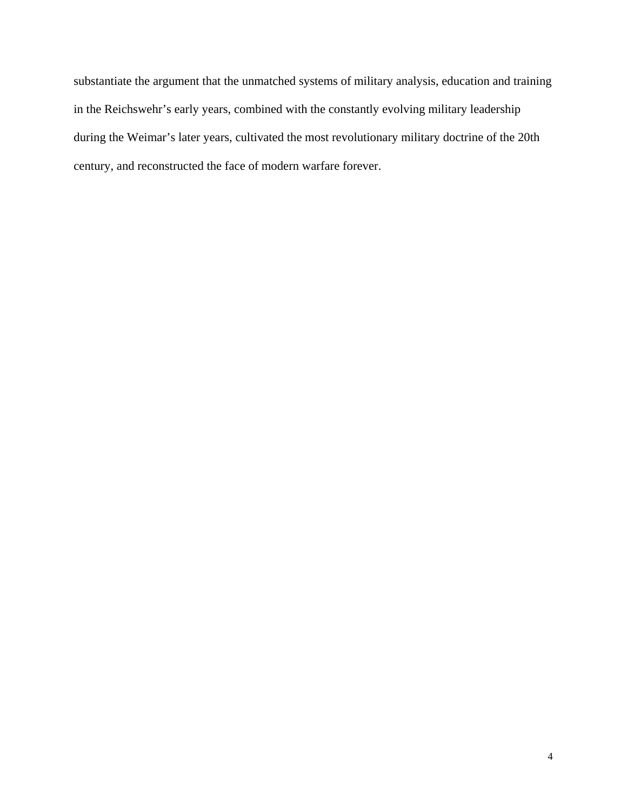substantiate the argument that the unmatched systems of military analysis, education and training in the Reichswehr's early years, combined with the constantly evolving military leadership during the Weimar's later years, cultivated the most revolutionary military doctrine of the 20th century, and reconstructed the face of modern warfare forever.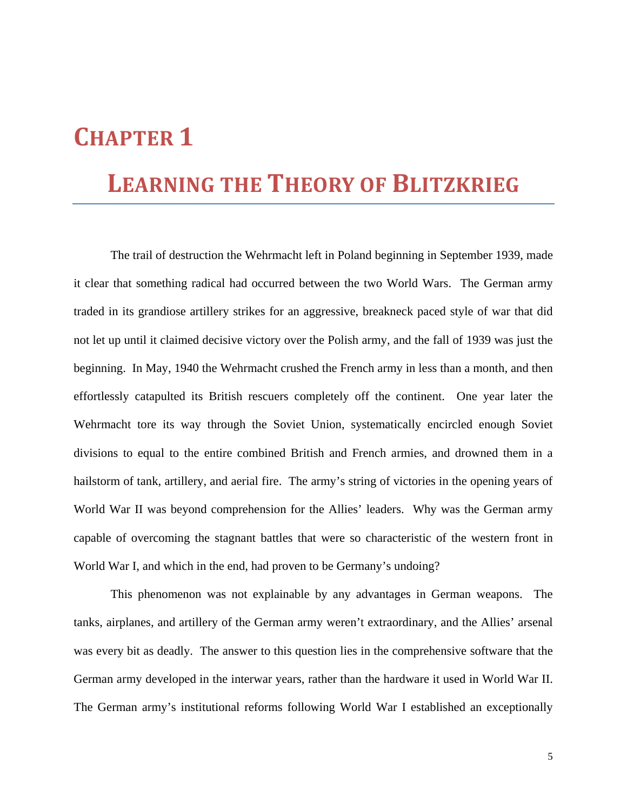# **CHAPTER 1**

## **LEARNING THE THEORY OF BLITZKRIEG**

 The trail of destruction the Wehrmacht left in Poland beginning in September 1939, made it clear that something radical had occurred between the two World Wars. The German army traded in its grandiose artillery strikes for an aggressive, breakneck paced style of war that did not let up until it claimed decisive victory over the Polish army, and the fall of 1939 was just the beginning. In May, 1940 the Wehrmacht crushed the French army in less than a month, and then effortlessly catapulted its British rescuers completely off the continent. One year later the Wehrmacht tore its way through the Soviet Union, systematically encircled enough Soviet divisions to equal to the entire combined British and French armies, and drowned them in a hailstorm of tank, artillery, and aerial fire. The army's string of victories in the opening years of World War II was beyond comprehension for the Allies' leaders. Why was the German army capable of overcoming the stagnant battles that were so characteristic of the western front in World War I, and which in the end, had proven to be Germany's undoing?

 This phenomenon was not explainable by any advantages in German weapons. The tanks, airplanes, and artillery of the German army weren't extraordinary, and the Allies' arsenal was every bit as deadly. The answer to this question lies in the comprehensive software that the German army developed in the interwar years, rather than the hardware it used in World War II. The German army's institutional reforms following World War I established an exceptionally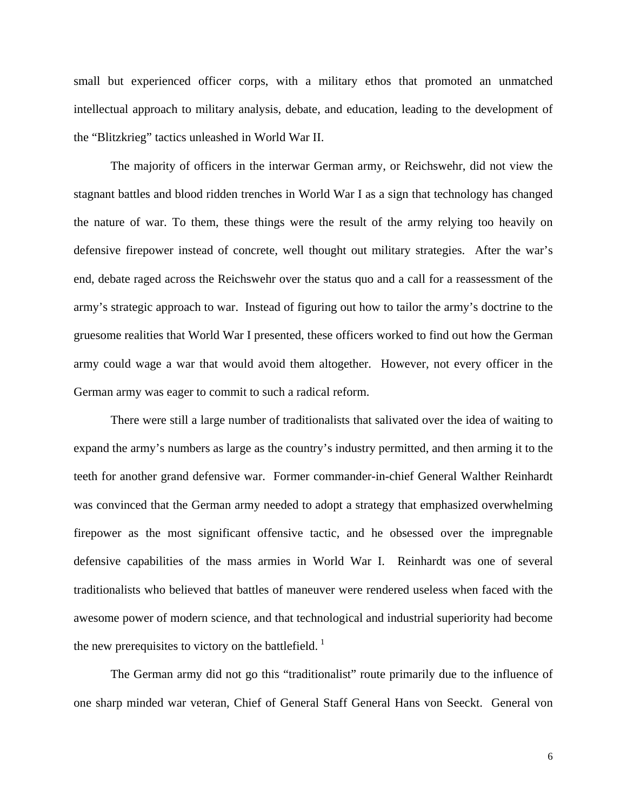small but experienced officer corps, with a military ethos that promoted an unmatched intellectual approach to military analysis, debate, and education, leading to the development of the "Blitzkrieg" tactics unleashed in World War II.

 The majority of officers in the interwar German army, or Reichswehr, did not view the stagnant battles and blood ridden trenches in World War I as a sign that technology has changed the nature of war. To them, these things were the result of the army relying too heavily on defensive firepower instead of concrete, well thought out military strategies. After the war's end, debate raged across the Reichswehr over the status quo and a call for a reassessment of the army's strategic approach to war. Instead of figuring out how to tailor the army's doctrine to the gruesome realities that World War I presented, these officers worked to find out how the German army could wage a war that would avoid them altogether. However, not every officer in the German army was eager to commit to such a radical reform.

 There were still a large number of traditionalists that salivated over the idea of waiting to expand the army's numbers as large as the country's industry permitted, and then arming it to the teeth for another grand defensive war. Former commander-in-chief General Walther Reinhardt was convinced that the German army needed to adopt a strategy that emphasized overwhelming firepower as the most significant offensive tactic, and he obsessed over the impregnable defensive capabilities of the mass armies in World War I. Reinhardt was one of several traditionalists who believed that battles of maneuver were rendered useless when faced with the awesome power of modern science, and that technological and industrial superiority had become the new prerequisites to victory on the battlefield.  $\frac{1}{1}$  $\frac{1}{1}$  $\frac{1}{1}$ 

 The German army did not go this "traditionalist" route primarily due to the influence of one sharp minded war veteran, Chief of General Staff General Hans von Seeckt. General von

6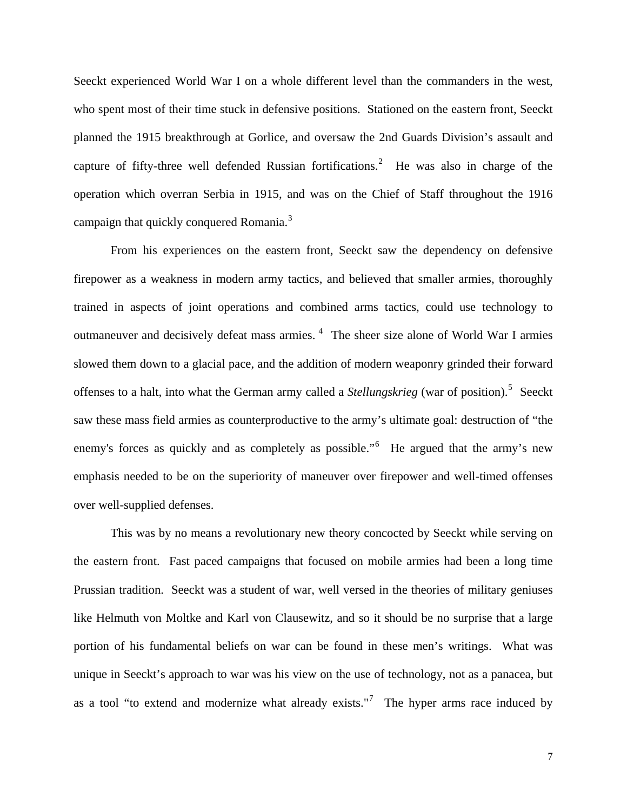Seeckt experienced World War I on a whole different level than the commanders in the west, who spent most of their time stuck in defensive positions. Stationed on the eastern front, Seeckt planned the 1915 breakthrough at Gorlice, and oversaw the 2nd Guards Division's assault and capture of fifty-three well defended Russian fortifications.<sup>[2](#page-29-1)</sup> He was also in charge of the operation which overran Serbia in 1915, and was on the Chief of Staff throughout the 1916 campaign that quickly conquered Romania.<sup>[3](#page-29-1)</sup>

 From his experiences on the eastern front, Seeckt saw the dependency on defensive firepower as a weakness in modern army tactics, and believed that smaller armies, thoroughly trained in aspects of joint operations and combined arms tactics, could use technology to outmaneuver and decisively defeat mass armies. <sup>[4](#page-29-1)</sup> The sheer size alone of World War I armies slowed them down to a glacial pace, and the addition of modern weaponry grinded their forward offenses to a halt, into what the German army called a *Stellungskrieg* (war of position).<sup>[5](#page-29-1)</sup> Seeckt saw these mass field armies as counterproductive to the army's ultimate goal: destruction of "the enemy's forces as quickly and as completely as possible."<sup>[6](#page-29-1)</sup> He argued that the army's new emphasis needed to be on the superiority of maneuver over firepower and well-timed offenses over well-supplied defenses.

 This was by no means a revolutionary new theory concocted by Seeckt while serving on the eastern front. Fast paced campaigns that focused on mobile armies had been a long time Prussian tradition. Seeckt was a student of war, well versed in the theories of military geniuses like Helmuth von Moltke and Karl von Clausewitz, and so it should be no surprise that a large portion of his fundamental beliefs on war can be found in these men's writings. What was unique in Seeckt's approach to war was his view on the use of technology, not as a panacea, but as a tool "to extend and modernize what already exists."<sup>[7](#page-29-1)</sup> The hyper arms race induced by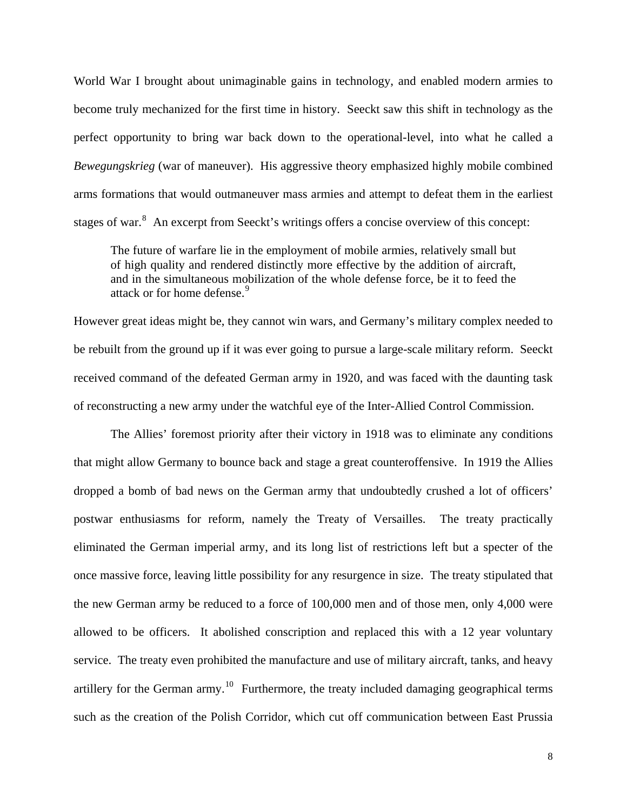World War I brought about unimaginable gains in technology, and enabled modern armies to become truly mechanized for the first time in history. Seeckt saw this shift in technology as the perfect opportunity to bring war back down to the operational-level, into what he called a *Bewegungskrieg* (war of maneuver). His aggressive theory emphasized highly mobile combined arms formations that would outmaneuver mass armies and attempt to defeat them in the earliest stages of war.<sup>[8](#page-29-1)</sup> An excerpt from Seeckt's writings offers a concise overview of this concept:

The future of warfare lie in the employment of mobile armies, relatively small but of high quality and rendered distinctly more effective by the addition of aircraft, and in the simultaneous mobilization of the whole defense force, be it to feed the attack or for home defense.<sup>[9](#page-29-1)</sup>

However great ideas might be, they cannot win wars, and Germany's military complex needed to be rebuilt from the ground up if it was ever going to pursue a large-scale military reform. Seeckt received command of the defeated German army in 1920, and was faced with the daunting task of reconstructing a new army under the watchful eye of the Inter-Allied Control Commission.

 The Allies' foremost priority after their victory in 1918 was to eliminate any conditions that might allow Germany to bounce back and stage a great counteroffensive. In 1919 the Allies dropped a bomb of bad news on the German army that undoubtedly crushed a lot of officers' postwar enthusiasms for reform, namely the Treaty of Versailles. The treaty practically eliminated the German imperial army, and its long list of restrictions left but a specter of the once massive force, leaving little possibility for any resurgence in size. The treaty stipulated that the new German army be reduced to a force of 100,000 men and of those men, only 4,000 were allowed to be officers. It abolished conscription and replaced this with a 12 year voluntary service. The treaty even prohibited the manufacture and use of military aircraft, tanks, and heavy artillery for the German army.<sup>[10](#page-29-1)</sup> Furthermore, the treaty included damaging geographical terms such as the creation of the Polish Corridor, which cut off communication between East Prussia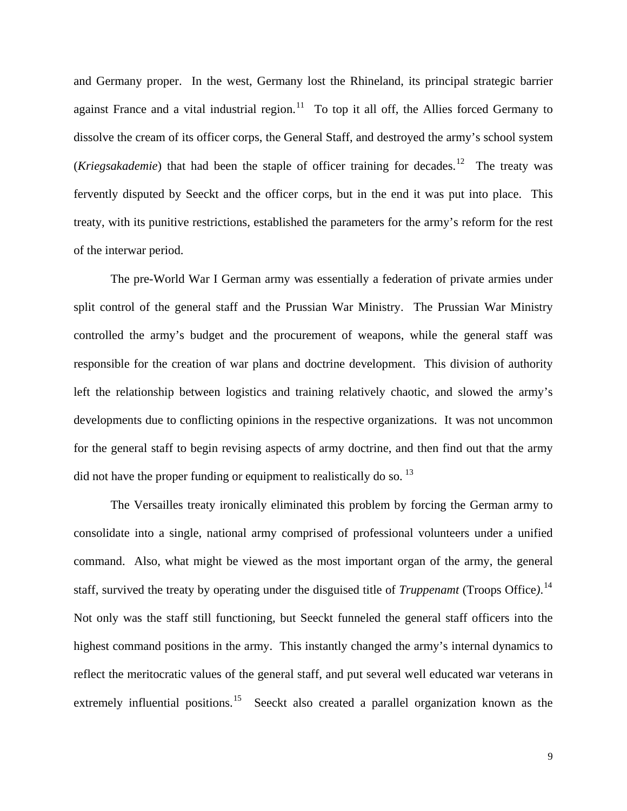and Germany proper. In the west, Germany lost the Rhineland, its principal strategic barrier against France and a vital industrial region.<sup>[11](#page-29-1)</sup> To top it all off, the Allies forced Germany to dissolve the cream of its officer corps, the General Staff, and destroyed the army's school system (*Kriegsakademie*) that had been the staple of officer training for decades.<sup>[12](#page-29-1)</sup> The treaty was fervently disputed by Seeckt and the officer corps, but in the end it was put into place. This treaty, with its punitive restrictions, established the parameters for the army's reform for the rest of the interwar period.

 The pre-World War I German army was essentially a federation of private armies under split control of the general staff and the Prussian War Ministry. The Prussian War Ministry controlled the army's budget and the procurement of weapons, while the general staff was responsible for the creation of war plans and doctrine development. This division of authority left the relationship between logistics and training relatively chaotic, and slowed the army's developments due to conflicting opinions in the respective organizations. It was not uncommon for the general staff to begin revising aspects of army doctrine, and then find out that the army did not have the proper funding or equipment to realistically do so.  $^{13}$  $^{13}$  $^{13}$ 

 The Versailles treaty ironically eliminated this problem by forcing the German army to consolidate into a single, national army comprised of professional volunteers under a unified command. Also, what might be viewed as the most important organ of the army, the general staff, survived the treaty by operating under the disguised title of *Truppenamt* (Troops Office*)*. [14](#page-29-1) Not only was the staff still functioning, but Seeckt funneled the general staff officers into the highest command positions in the army. This instantly changed the army's internal dynamics to reflect the meritocratic values of the general staff, and put several well educated war veterans in extremely influential positions.<sup>[15](#page-29-1)</sup> Seeckt also created a parallel organization known as the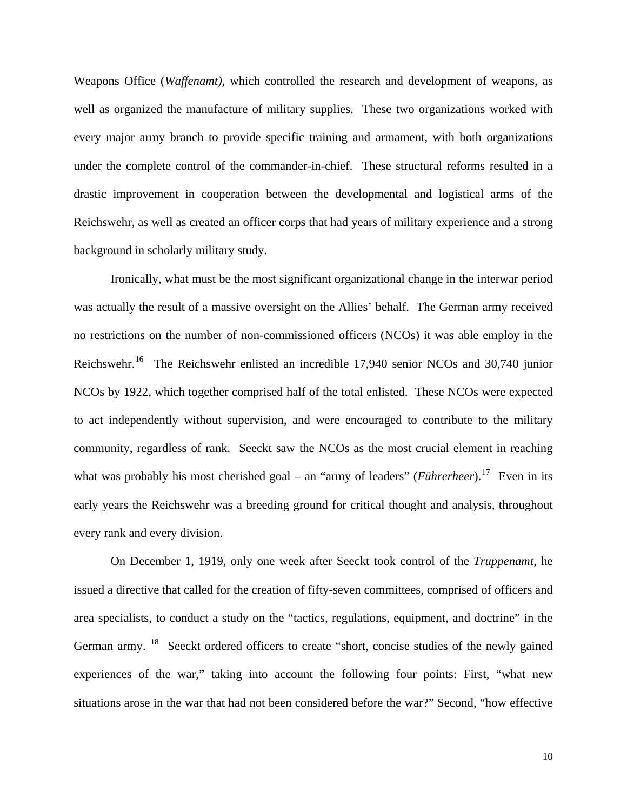Weapons Office (*Waffenamt),* which controlled the research and development of weapons, as well as organized the manufacture of military supplies. These two organizations worked with every major army branch to provide specific training and armament, with both organizations under the complete control of the commander-in-chief. These structural reforms resulted in a drastic improvement in cooperation between the developmental and logistical arms of the Reichswehr, as well as created an officer corps that had years of military experience and a strong background in scholarly military study.

 Ironically, what must be the most significant organizational change in the interwar period was actually the result of a massive oversight on the Allies' behalf. The German army received no restrictions on the number of non-commissioned officers (NCOs) it was able employ in the Reichswehr.[16](#page-29-1) The Reichswehr enlisted an incredible 17,940 senior NCOs and 30,740 junior NCOs by 1922, which together comprised half of the total enlisted. These NCOs were expected to act independently without supervision, and were encouraged to contribute to the military community, regardless of rank. Seeckt saw the NCOs as the most crucial element in reaching what was probably his most cherished goal – an "army of leaders" (*Führerheer*).<sup>[17](#page-29-1)</sup> Even in its early years the Reichswehr was a breeding ground for critical thought and analysis, throughout every rank and every division.

 On December 1, 1919, only one week after Seeckt took control of the *Truppenamt*, he issued a directive that called for the creation of fifty-seven committees, comprised of officers and area specialists, to conduct a study on the "tactics, regulations, equipment, and doctrine" in the German army. <sup>[18](#page-29-1)</sup> Seeckt ordered officers to create "short, concise studies of the newly gained experiences of the war," taking into account the following four points: First, "what new situations arose in the war that had not been considered before the war?" Second, "how effective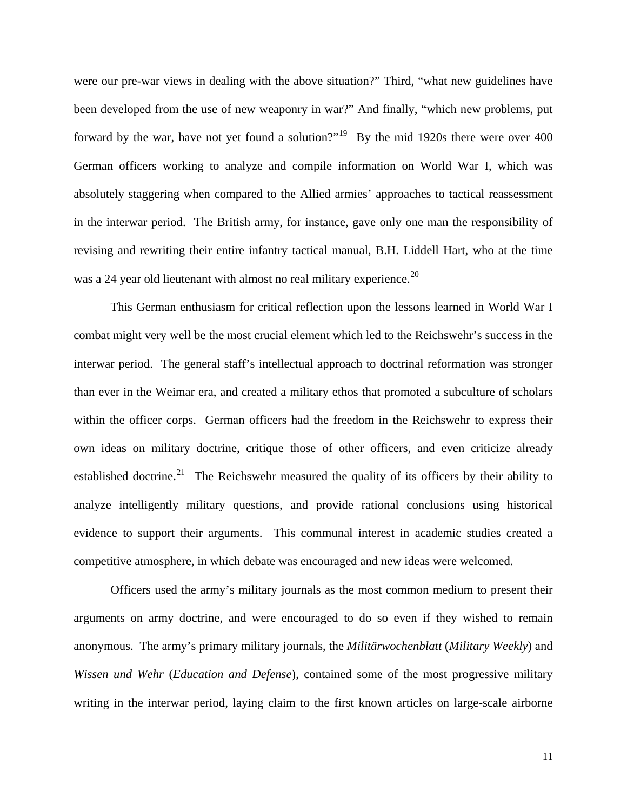were our pre-war views in dealing with the above situation?" Third, "what new guidelines have been developed from the use of new weaponry in war?" And finally, "which new problems, put forward by the war, have not yet found a solution?"<sup>[19](#page-29-1)</sup> By the mid 1920s there were over 400 German officers working to analyze and compile information on World War I, which was absolutely staggering when compared to the Allied armies' approaches to tactical reassessment in the interwar period. The British army, for instance, gave only one man the responsibility of revising and rewriting their entire infantry tactical manual, B.H. Liddell Hart, who at the time was a 24 year old lieutenant with almost no real military experience.<sup>[20](#page-30-0)</sup>

 This German enthusiasm for critical reflection upon the lessons learned in World War I combat might very well be the most crucial element which led to the Reichswehr's success in the interwar period. The general staff's intellectual approach to doctrinal reformation was stronger than ever in the Weimar era, and created a military ethos that promoted a subculture of scholars within the officer corps. German officers had the freedom in the Reichswehr to express their own ideas on military doctrine, critique those of other officers, and even criticize already established doctrine.<sup>[21](#page-30-0)</sup> The Reichswehr measured the quality of its officers by their ability to analyze intelligently military questions, and provide rational conclusions using historical evidence to support their arguments. This communal interest in academic studies created a competitive atmosphere, in which debate was encouraged and new ideas were welcomed.

 Officers used the army's military journals as the most common medium to present their arguments on army doctrine, and were encouraged to do so even if they wished to remain anonymous. The army's primary military journals, the *Militärwochenblatt* (*Military Weekly*) and *Wissen und Wehr* (*Education and Defense*), contained some of the most progressive military writing in the interwar period, laying claim to the first known articles on large-scale airborne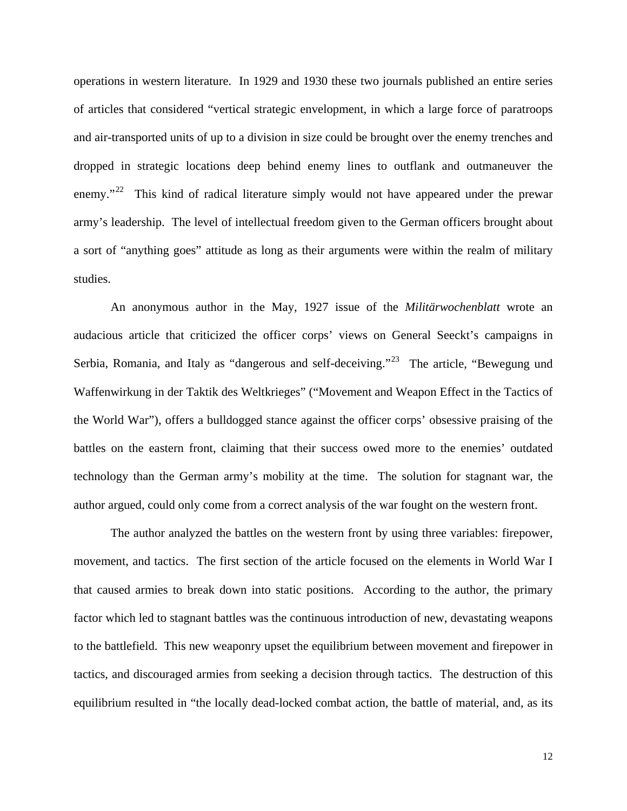operations in western literature. In 1929 and 1930 these two journals published an entire series of articles that considered "vertical strategic envelopment, in which a large force of paratroops and air-transported units of up to a division in size could be brought over the enemy trenches and dropped in strategic locations deep behind enemy lines to outflank and outmaneuver the enemy."<sup>[22](#page-30-0)</sup> This kind of radical literature simply would not have appeared under the prewar army's leadership. The level of intellectual freedom given to the German officers brought about a sort of "anything goes" attitude as long as their arguments were within the realm of military studies.

 An anonymous author in the May, 1927 issue of the *Militärwochenblatt* wrote an audacious article that criticized the officer corps' views on General Seeckt's campaigns in Serbia, Romania, and Italy as "dangerous and self-deceiving."<sup>[23](#page-30-0)</sup> The article, "Bewegung und Waffenwirkung in der Taktik des Weltkrieges" ("Movement and Weapon Effect in the Tactics of the World War"), offers a bulldogged stance against the officer corps' obsessive praising of the battles on the eastern front, claiming that their success owed more to the enemies' outdated technology than the German army's mobility at the time. The solution for stagnant war, the author argued, could only come from a correct analysis of the war fought on the western front.

 The author analyzed the battles on the western front by using three variables: firepower, movement, and tactics. The first section of the article focused on the elements in World War I that caused armies to break down into static positions. According to the author, the primary factor which led to stagnant battles was the continuous introduction of new, devastating weapons to the battlefield. This new weaponry upset the equilibrium between movement and firepower in tactics, and discouraged armies from seeking a decision through tactics. The destruction of this equilibrium resulted in "the locally dead-locked combat action, the battle of material, and, as its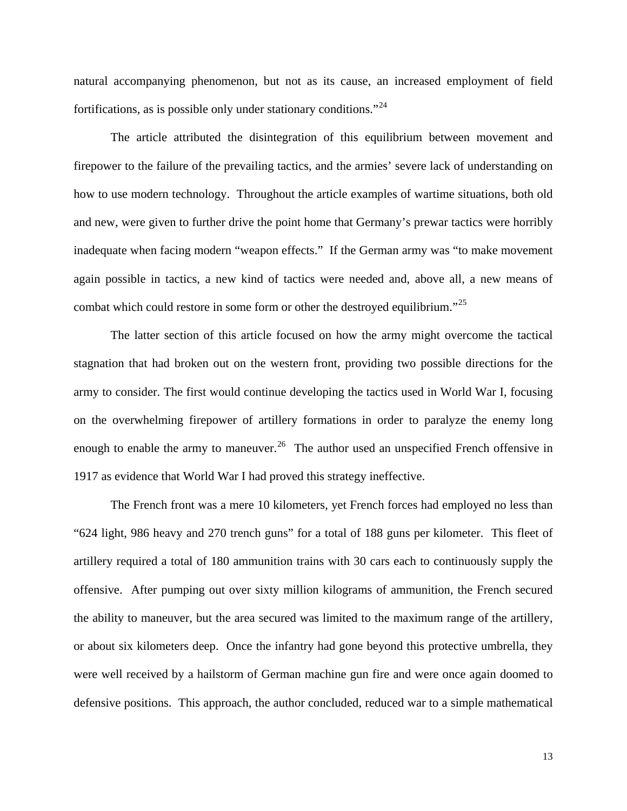natural accompanying phenomenon, but not as its cause, an increased employment of field fortifications, as is possible only under stationary conditions."[24](#page-30-0)

 The article attributed the disintegration of this equilibrium between movement and firepower to the failure of the prevailing tactics, and the armies' severe lack of understanding on how to use modern technology. Throughout the article examples of wartime situations, both old and new, were given to further drive the point home that Germany's prewar tactics were horribly inadequate when facing modern "weapon effects." If the German army was "to make movement again possible in tactics, a new kind of tactics were needed and, above all, a new means of combat which could restore in some form or other the destroyed equilibrium."<sup>[25](#page-30-0)</sup>

 The latter section of this article focused on how the army might overcome the tactical stagnation that had broken out on the western front, providing two possible directions for the army to consider. The first would continue developing the tactics used in World War I, focusing on the overwhelming firepower of artillery formations in order to paralyze the enemy long enough to enable the army to maneuver.<sup>[26](#page-30-0)</sup> The author used an unspecified French offensive in 1917 as evidence that World War I had proved this strategy ineffective.

 The French front was a mere 10 kilometers, yet French forces had employed no less than "624 light, 986 heavy and 270 trench guns" for a total of 188 guns per kilometer. This fleet of artillery required a total of 180 ammunition trains with 30 cars each to continuously supply the offensive. After pumping out over sixty million kilograms of ammunition, the French secured the ability to maneuver, but the area secured was limited to the maximum range of the artillery, or about six kilometers deep. Once the infantry had gone beyond this protective umbrella, they were well received by a hailstorm of German machine gun fire and were once again doomed to defensive positions. This approach, the author concluded, reduced war to a simple mathematical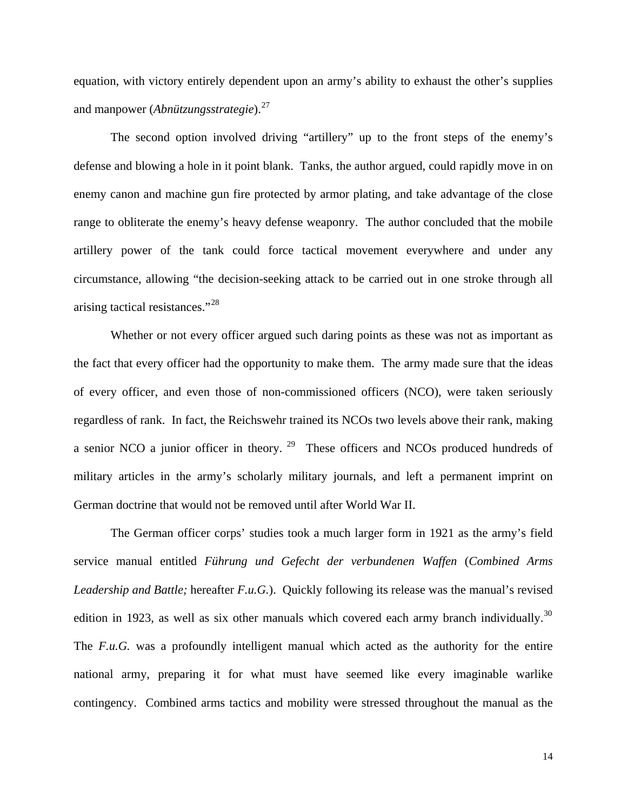equation, with victory entirely dependent upon an army's ability to exhaust the other's supplies and manpower (*Abnützungsstrategie*).[27](#page-30-0)

 The second option involved driving "artillery" up to the front steps of the enemy's defense and blowing a hole in it point blank. Tanks, the author argued, could rapidly move in on enemy canon and machine gun fire protected by armor plating, and take advantage of the close range to obliterate the enemy's heavy defense weaponry. The author concluded that the mobile artillery power of the tank could force tactical movement everywhere and under any circumstance, allowing "the decision-seeking attack to be carried out in one stroke through all arising tactical resistances."[28](#page-30-0)

 Whether or not every officer argued such daring points as these was not as important as the fact that every officer had the opportunity to make them. The army made sure that the ideas of every officer, and even those of non-commissioned officers (NCO), were taken seriously regardless of rank. In fact, the Reichswehr trained its NCOs two levels above their rank, making a senior NCO a junior officer in theory. [29](#page-30-0) These officers and NCOs produced hundreds of military articles in the army's scholarly military journals, and left a permanent imprint on German doctrine that would not be removed until after World War II.

 The German officer corps' studies took a much larger form in 1921 as the army's field service manual entitled *Führung und Gefecht der verbundenen Waffen* (*Combined Arms Leadership and Battle;* hereafter *F.u.G.*). Quickly following its release was the manual's revised edition in 1923, as well as six other manuals which covered each army branch individually.<sup>[30](#page-30-0)</sup> The *F.u.G.* was a profoundly intelligent manual which acted as the authority for the entire national army, preparing it for what must have seemed like every imaginable warlike contingency. Combined arms tactics and mobility were stressed throughout the manual as the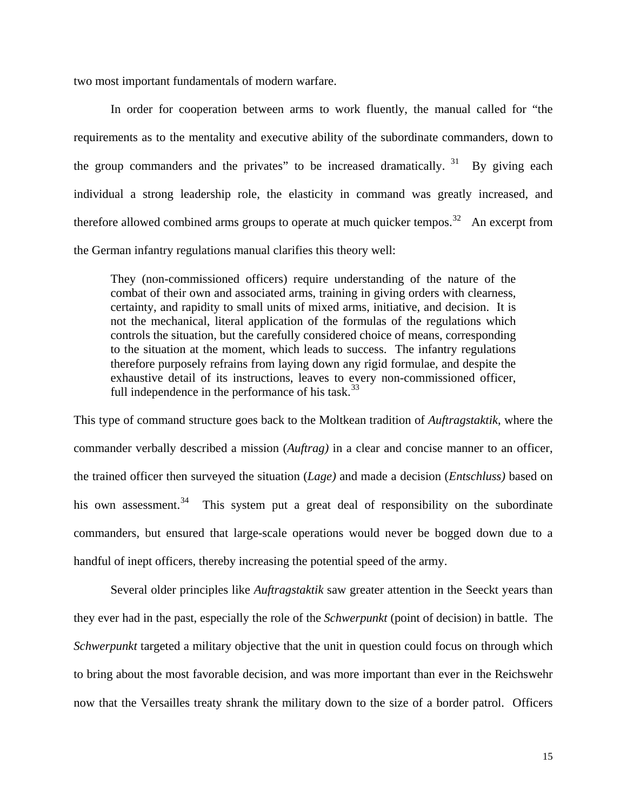two most important fundamentals of modern warfare.

In order for cooperation between arms to work fluently, the manual called for "the requirements as to the mentality and executive ability of the subordinate commanders, down to the group commanders and the privates" to be increased dramatically.  $31$  By giving each individual a strong leadership role, the elasticity in command was greatly increased, and therefore allowed combined arms groups to operate at much quicker tempos.<sup>[32](#page-30-0)</sup> An excerpt from the German infantry regulations manual clarifies this theory well:

They (non-commissioned officers) require understanding of the nature of the combat of their own and associated arms, training in giving orders with clearness, certainty, and rapidity to small units of mixed arms, initiative, and decision. It is not the mechanical, literal application of the formulas of the regulations which controls the situation, but the carefully considered choice of means, corresponding to the situation at the moment, which leads to success. The infantry regulations therefore purposely refrains from laying down any rigid formulae, and despite the exhaustive detail of its instructions, leaves to every non-commissioned officer, full independence in the performance of his task. $33$ 

This type of command structure goes back to the Moltkean tradition of *Auftragstaktik*, where the commander verbally described a mission (*Auftrag)* in a clear and concise manner to an officer, the trained officer then surveyed the situation (*Lage)* and made a decision (*Entschluss)* based on his own assessment.<sup>[34](#page-30-0)</sup> This system put a great deal of responsibility on the subordinate commanders, but ensured that large-scale operations would never be bogged down due to a handful of inept officers, thereby increasing the potential speed of the army.

 Several older principles like *Auftragstaktik* saw greater attention in the Seeckt years than they ever had in the past, especially the role of the *Schwerpunkt* (point of decision) in battle. The *Schwerpunkt* targeted a military objective that the unit in question could focus on through which to bring about the most favorable decision*,* and was more important than ever in the Reichswehr now that the Versailles treaty shrank the military down to the size of a border patrol. Officers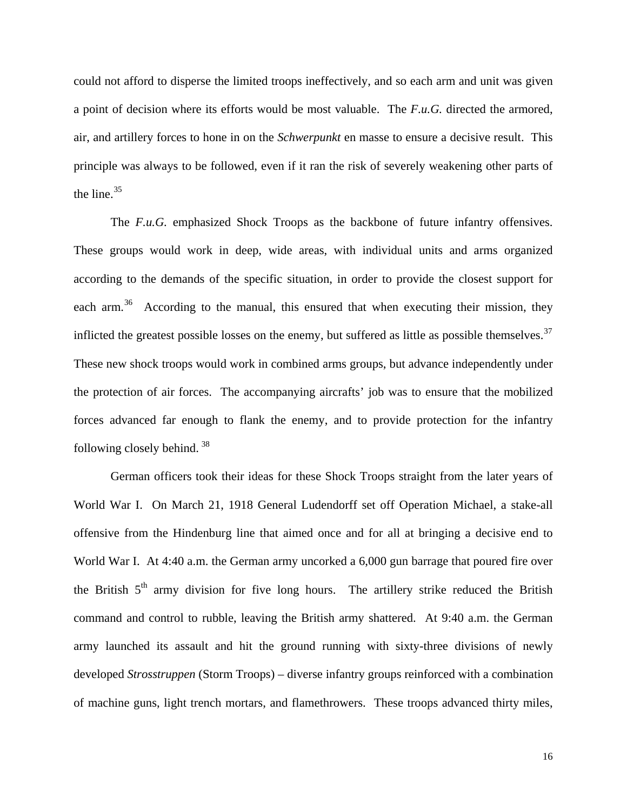could not afford to disperse the limited troops ineffectively, and so each arm and unit was given a point of decision where its efforts would be most valuable. The *F.u.G.* directed the armored, air, and artillery forces to hone in on the *Schwerpunkt* en masse to ensure a decisive result.This principle was always to be followed, even if it ran the risk of severely weakening other parts of the line.  $35$ 

The *F.u.G.* emphasized Shock Troops as the backbone of future infantry offensives. These groups would work in deep, wide areas, with individual units and arms organized according to the demands of the specific situation, in order to provide the closest support for each arm.<sup>[36](#page-30-0)</sup> According to the manual, this ensured that when executing their mission, they inflicted the greatest possible losses on the enemy, but suffered as little as possible themselves.<sup>[37](#page-30-0)</sup> These new shock troops would work in combined arms groups, but advance independently under the protection of air forces. The accompanying aircrafts' job was to ensure that the mobilized forces advanced far enough to flank the enemy, and to provide protection for the infantry following closely behind. [38](#page-30-0)

German officers took their ideas for these Shock Troops straight from the later years of World War I. On March 21, 1918 General Ludendorff set off Operation Michael, a stake-all offensive from the Hindenburg line that aimed once and for all at bringing a decisive end to World War I. At 4:40 a.m. the German army uncorked a 6,000 gun barrage that poured fire over the British 5<sup>th</sup> army division for five long hours. The artillery strike reduced the British command and control to rubble, leaving the British army shattered. At 9:40 a.m. the German army launched its assault and hit the ground running with sixty-three divisions of newly developed *Strosstruppen* (Storm Troops) – diverse infantry groups reinforced with a combination of machine guns, light trench mortars, and flamethrowers. These troops advanced thirty miles,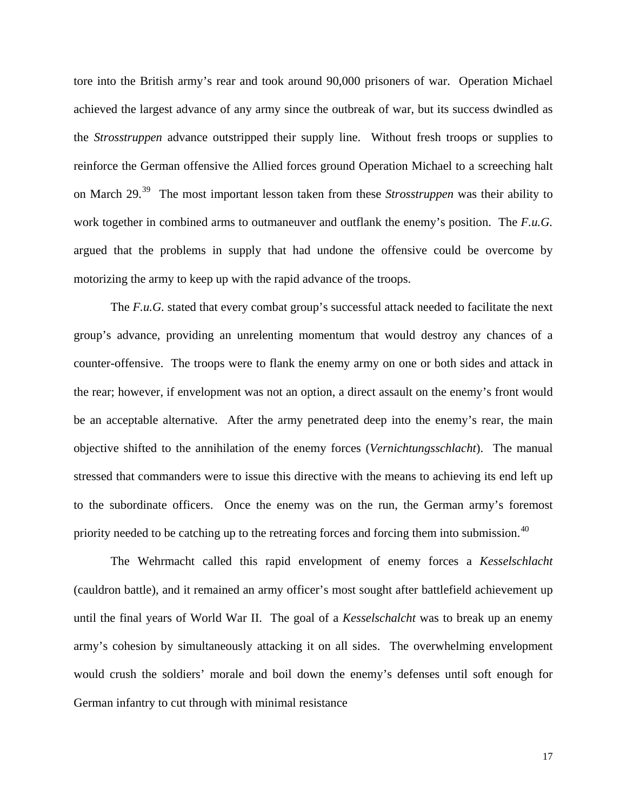tore into the British army's rear and took around 90,000 prisoners of war. Operation Michael achieved the largest advance of any army since the outbreak of war, but its success dwindled as the *Strosstruppen* advance outstripped their supply line. Without fresh troops or supplies to reinforce the German offensive the Allied forces ground Operation Michael to a screeching halt on March 29.[39](#page-31-0) The most important lesson taken from these *Strosstruppen* was their ability to work together in combined arms to outmaneuver and outflank the enemy's position. The *F.u.G.*  argued that the problems in supply that had undone the offensive could be overcome by motorizing the army to keep up with the rapid advance of the troops.

The *F.u.G.* stated that every combat group's successful attack needed to facilitate the next group's advance, providing an unrelenting momentum that would destroy any chances of a counter-offensive. The troops were to flank the enemy army on one or both sides and attack in the rear; however, if envelopment was not an option, a direct assault on the enemy's front would be an acceptable alternative. After the army penetrated deep into the enemy's rear, the main objective shifted to the annihilation of the enemy forces (*Vernichtungsschlacht*). The manual stressed that commanders were to issue this directive with the means to achieving its end left up to the subordinate officers. Once the enemy was on the run, the German army's foremost priority needed to be catching up to the retreating forces and forcing them into submission.<sup>[40](#page-31-0)</sup>

The Wehrmacht called this rapid envelopment of enemy forces a *Kesselschlacht*  (cauldron battle), and it remained an army officer's most sought after battlefield achievement up until the final years of World War II. The goal of a *Kesselschalcht* was to break up an enemy army's cohesion by simultaneously attacking it on all sides. The overwhelming envelopment would crush the soldiers' morale and boil down the enemy's defenses until soft enough for German infantry to cut through with minimal resistance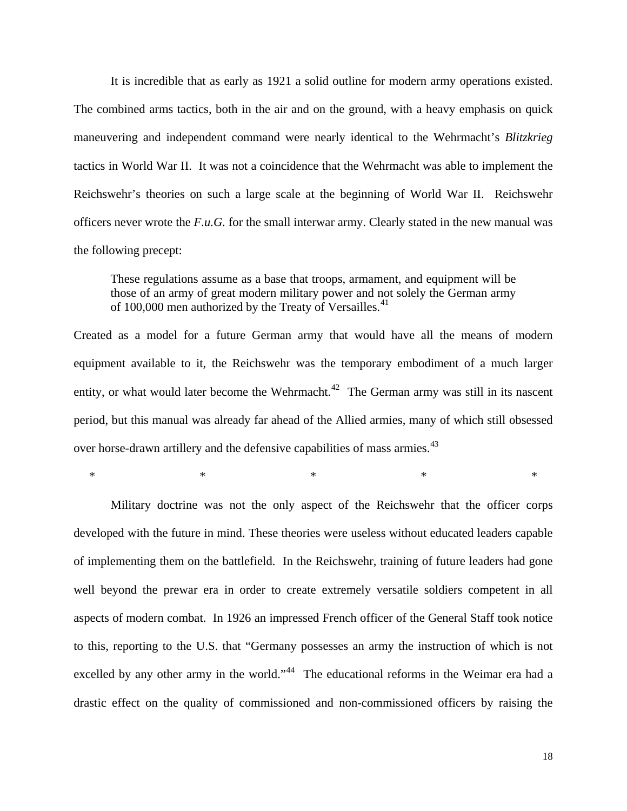It is incredible that as early as 1921 a solid outline for modern army operations existed. The combined arms tactics, both in the air and on the ground, with a heavy emphasis on quick maneuvering and independent command were nearly identical to the Wehrmacht's *Blitzkrieg*  tactics in World War II. It was not a coincidence that the Wehrmacht was able to implement the Reichswehr's theories on such a large scale at the beginning of World War II. Reichswehr officers never wrote the *F.u.G.* for the small interwar army. Clearly stated in the new manual was the following precept:

These regulations assume as a base that troops, armament, and equipment will be those of an army of great modern military power and not solely the German army of 100,000 men authorized by the Treaty of Versailles.<sup>[41](#page-31-0)</sup>

Created as a model for a future German army that would have all the means of modern equipment available to it, the Reichswehr was the temporary embodiment of a much larger entity, or what would later become the Wehrmacht.<sup>[42](#page-31-0)</sup> The German army was still in its nascent period, but this manual was already far ahead of the Allied armies, many of which still obsessed over horse-drawn artillery and the defensive capabilities of mass armies.<sup>[43](#page-31-0)</sup>

 $*$   $*$   $*$   $*$   $*$   $*$   $*$ 

 Military doctrine was not the only aspect of the Reichswehr that the officer corps developed with the future in mind. These theories were useless without educated leaders capable of implementing them on the battlefield. In the Reichswehr, training of future leaders had gone well beyond the prewar era in order to create extremely versatile soldiers competent in all aspects of modern combat. In 1926 an impressed French officer of the General Staff took notice to this, reporting to the U.S. that "Germany possesses an army the instruction of which is not excelled by any other army in the world."<sup>[44](#page-31-0)</sup> The educational reforms in the Weimar era had a drastic effect on the quality of commissioned and non-commissioned officers by raising the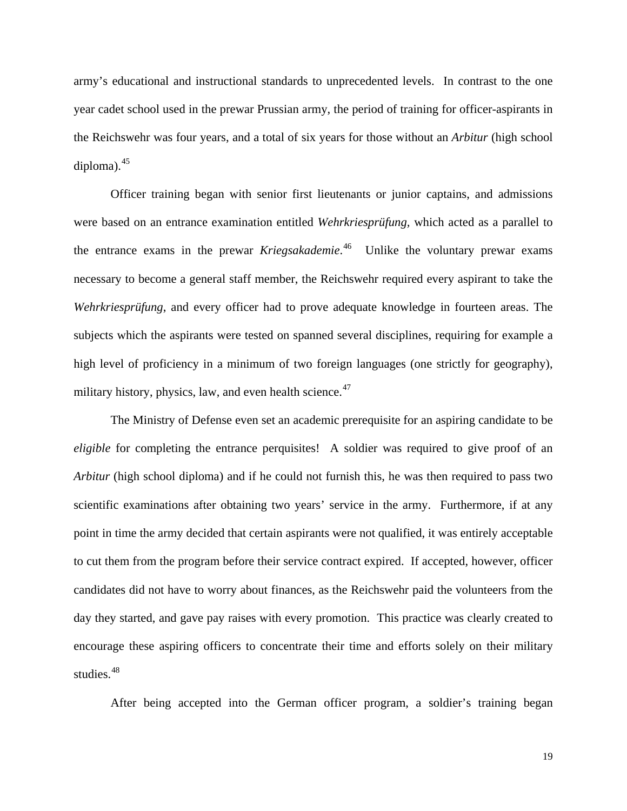army's educational and instructional standards to unprecedented levels. In contrast to the one year cadet school used in the prewar Prussian army, the period of training for officer-aspirants in the Reichswehr was four years, and a total of six years for those without an *Arbitur* (high school diploma).<sup>[45](#page-31-0)</sup>

 Officer training began with senior first lieutenants or junior captains, and admissions were based on an entrance examination entitled *Wehrkriesprüfung,* which acted as a parallel to the entrance exams in the prewar *Kriegsakademie*. [46](#page-31-0) Unlike the voluntary prewar exams necessary to become a general staff member, the Reichswehr required every aspirant to take the *Wehrkriesprüfung*, and every officer had to prove adequate knowledge in fourteen areas. The subjects which the aspirants were tested on spanned several disciplines, requiring for example a high level of proficiency in a minimum of two foreign languages (one strictly for geography), military history, physics, law, and even health science. $47$ 

 The Ministry of Defense even set an academic prerequisite for an aspiring candidate to be *eligible* for completing the entrance perquisites! A soldier was required to give proof of an *Arbitur* (high school diploma) and if he could not furnish this, he was then required to pass two scientific examinations after obtaining two years' service in the army. Furthermore, if at any point in time the army decided that certain aspirants were not qualified, it was entirely acceptable to cut them from the program before their service contract expired. If accepted, however, officer candidates did not have to worry about finances, as the Reichswehr paid the volunteers from the day they started, and gave pay raises with every promotion. This practice was clearly created to encourage these aspiring officers to concentrate their time and efforts solely on their military studies.<sup>[48](#page-31-0)</sup>

After being accepted into the German officer program, a soldier's training began

19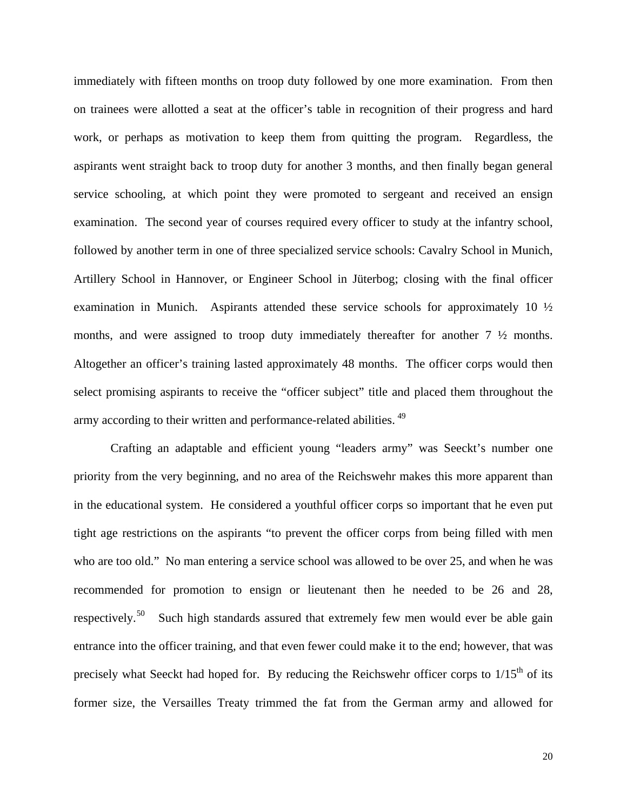immediately with fifteen months on troop duty followed by one more examination. From then on trainees were allotted a seat at the officer's table in recognition of their progress and hard work, or perhaps as motivation to keep them from quitting the program. Regardless, the aspirants went straight back to troop duty for another 3 months, and then finally began general service schooling, at which point they were promoted to sergeant and received an ensign examination. The second year of courses required every officer to study at the infantry school, followed by another term in one of three specialized service schools: Cavalry School in Munich, Artillery School in Hannover, or Engineer School in Jüterbog; closing with the final officer examination in Munich. Aspirants attended these service schools for approximately 10 ½ months, and were assigned to troop duty immediately thereafter for another 7 ½ months. Altogether an officer's training lasted approximately 48 months. The officer corps would then select promising aspirants to receive the "officer subject" title and placed them throughout the army according to their written and performance-related abilities. [49](#page-31-0)

 Crafting an adaptable and efficient young "leaders army" was Seeckt's number one priority from the very beginning, and no area of the Reichswehr makes this more apparent than in the educational system. He considered a youthful officer corps so important that he even put tight age restrictions on the aspirants "to prevent the officer corps from being filled with men who are too old." No man entering a service school was allowed to be over 25, and when he was recommended for promotion to ensign or lieutenant then he needed to be 26 and 28, respectively.<sup>[50](#page-31-0)</sup> Such high standards assured that extremely few men would ever be able gain entrance into the officer training, and that even fewer could make it to the end; however, that was precisely what Seeckt had hoped for. By reducing the Reichswehr officer corps to  $1/15<sup>th</sup>$  of its former size, the Versailles Treaty trimmed the fat from the German army and allowed for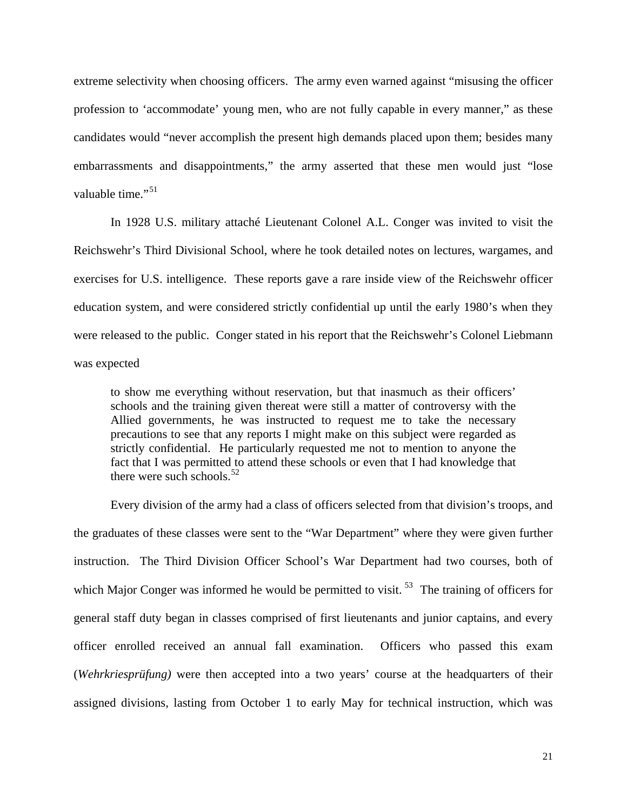extreme selectivity when choosing officers. The army even warned against "misusing the officer profession to 'accommodate' young men, who are not fully capable in every manner," as these candidates would "never accomplish the present high demands placed upon them; besides many embarrassments and disappointments," the army asserted that these men would just "lose valuable time."<sup>[51](#page-31-0)</sup>

 In 1928 U.S. military attaché Lieutenant Colonel A.L. Conger was invited to visit the Reichswehr's Third Divisional School, where he took detailed notes on lectures, wargames, and exercises for U.S. intelligence. These reports gave a rare inside view of the Reichswehr officer education system, and were considered strictly confidential up until the early 1980's when they were released to the public. Conger stated in his report that the Reichswehr's Colonel Liebmann was expected

to show me everything without reservation, but that inasmuch as their officers' schools and the training given thereat were still a matter of controversy with the Allied governments, he was instructed to request me to take the necessary precautions to see that any reports I might make on this subject were regarded as strictly confidential. He particularly requested me not to mention to anyone the fact that I was permitted to attend these schools or even that I had knowledge that there were such schools.<sup>[52](#page-31-0)</sup>

 Every division of the army had a class of officers selected from that division's troops, and the graduates of these classes were sent to the "War Department" where they were given further instruction. The Third Division Officer School's War Department had two courses, both of which Major Conger was informed he would be permitted to visit.<sup>[53](#page-31-0)</sup> The training of officers for general staff duty began in classes comprised of first lieutenants and junior captains, and every officer enrolled received an annual fall examination. Officers who passed this exam (*Wehrkriesprüfung)* were then accepted into a two years' course at the headquarters of their assigned divisions, lasting from October 1 to early May for technical instruction, which was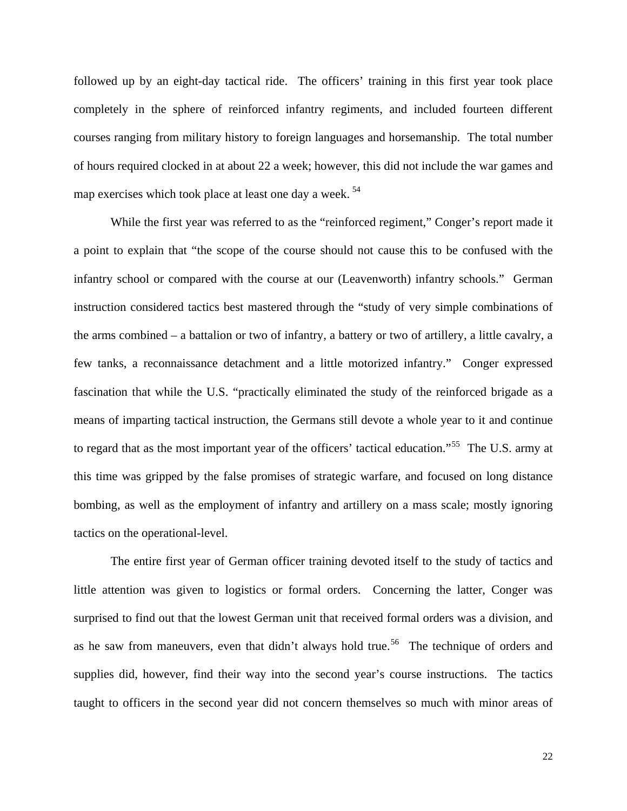followed up by an eight-day tactical ride. The officers' training in this first year took place completely in the sphere of reinforced infantry regiments, and included fourteen different courses ranging from military history to foreign languages and horsemanship. The total number of hours required clocked in at about 22 a week; however, this did not include the war games and map exercises which took place at least one day a week.<sup>[54](#page-31-0)</sup>

 While the first year was referred to as the "reinforced regiment," Conger's report made it a point to explain that "the scope of the course should not cause this to be confused with the infantry school or compared with the course at our (Leavenworth) infantry schools." German instruction considered tactics best mastered through the "study of very simple combinations of the arms combined – a battalion or two of infantry, a battery or two of artillery, a little cavalry, a few tanks, a reconnaissance detachment and a little motorized infantry." Conger expressed fascination that while the U.S. "practically eliminated the study of the reinforced brigade as a means of imparting tactical instruction, the Germans still devote a whole year to it and continue to regard that as the most important year of the officers' tactical education."<sup>[55](#page-31-0)</sup> The U.S. army at this time was gripped by the false promises of strategic warfare, and focused on long distance bombing, as well as the employment of infantry and artillery on a mass scale; mostly ignoring tactics on the operational-level.

 The entire first year of German officer training devoted itself to the study of tactics and little attention was given to logistics or formal orders. Concerning the latter, Conger was surprised to find out that the lowest German unit that received formal orders was a division, and as he saw from maneuvers, even that didn't always hold true.<sup>[56](#page-31-0)</sup> The technique of orders and supplies did, however, find their way into the second year's course instructions. The tactics taught to officers in the second year did not concern themselves so much with minor areas of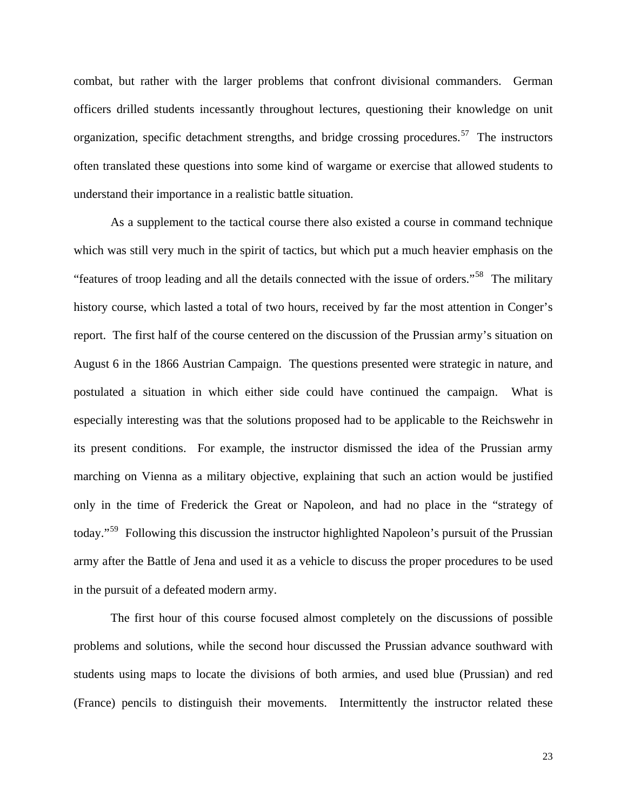combat, but rather with the larger problems that confront divisional commanders. German officers drilled students incessantly throughout lectures, questioning their knowledge on unit organization, specific detachment strengths, and bridge crossing procedures.<sup>[57](#page-31-0)</sup> The instructors often translated these questions into some kind of wargame or exercise that allowed students to understand their importance in a realistic battle situation.

 As a supplement to the tactical course there also existed a course in command technique which was still very much in the spirit of tactics, but which put a much heavier emphasis on the "features of troop leading and all the details connected with the issue of orders."<sup>[58](#page-31-0)</sup> The military history course, which lasted a total of two hours, received by far the most attention in Conger's report. The first half of the course centered on the discussion of the Prussian army's situation on August 6 in the 1866 Austrian Campaign. The questions presented were strategic in nature, and postulated a situation in which either side could have continued the campaign. What is especially interesting was that the solutions proposed had to be applicable to the Reichswehr in its present conditions. For example, the instructor dismissed the idea of the Prussian army marching on Vienna as a military objective, explaining that such an action would be justified only in the time of Frederick the Great or Napoleon, and had no place in the "strategy of today."[59](#page-31-0) Following this discussion the instructor highlighted Napoleon's pursuit of the Prussian army after the Battle of Jena and used it as a vehicle to discuss the proper procedures to be used in the pursuit of a defeated modern army.

 The first hour of this course focused almost completely on the discussions of possible problems and solutions, while the second hour discussed the Prussian advance southward with students using maps to locate the divisions of both armies, and used blue (Prussian) and red (France) pencils to distinguish their movements. Intermittently the instructor related these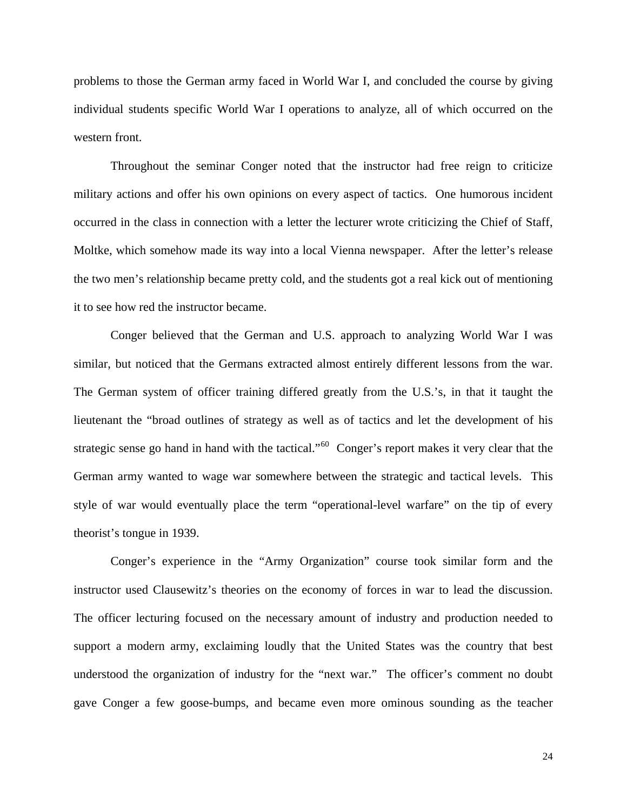problems to those the German army faced in World War I, and concluded the course by giving individual students specific World War I operations to analyze, all of which occurred on the western front.

Throughout the seminar Conger noted that the instructor had free reign to criticize military actions and offer his own opinions on every aspect of tactics. One humorous incident occurred in the class in connection with a letter the lecturer wrote criticizing the Chief of Staff, Moltke, which somehow made its way into a local Vienna newspaper. After the letter's release the two men's relationship became pretty cold, and the students got a real kick out of mentioning it to see how red the instructor became.

Conger believed that the German and U.S. approach to analyzing World War I was similar, but noticed that the Germans extracted almost entirely different lessons from the war. The German system of officer training differed greatly from the U.S.'s, in that it taught the lieutenant the "broad outlines of strategy as well as of tactics and let the development of his strategic sense go hand in hand with the tactical."<sup>[60](#page-31-0)</sup> Conger's report makes it very clear that the German army wanted to wage war somewhere between the strategic and tactical levels. This style of war would eventually place the term "operational-level warfare" on the tip of every theorist's tongue in 1939.

Conger's experience in the "Army Organization" course took similar form and the instructor used Clausewitz's theories on the economy of forces in war to lead the discussion. The officer lecturing focused on the necessary amount of industry and production needed to support a modern army, exclaiming loudly that the United States was the country that best understood the organization of industry for the "next war." The officer's comment no doubt gave Conger a few goose-bumps, and became even more ominous sounding as the teacher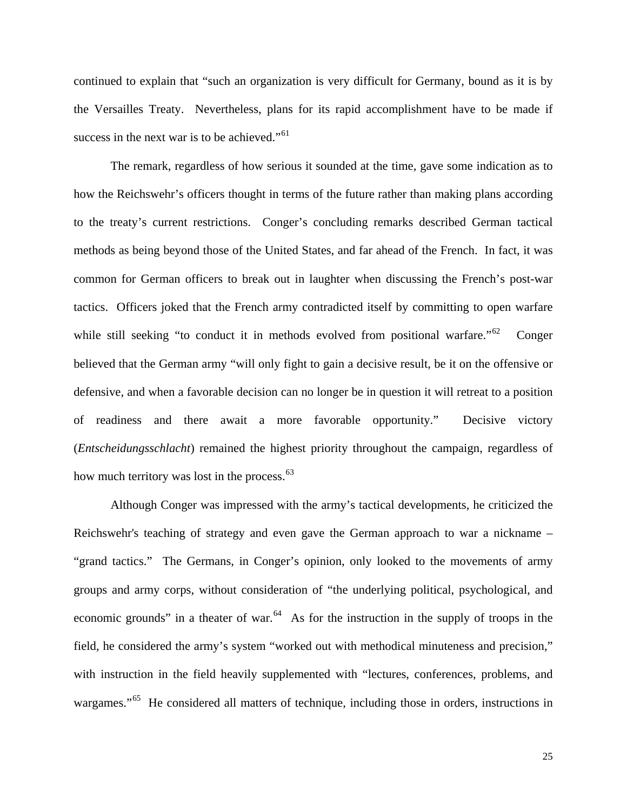continued to explain that "such an organization is very difficult for Germany, bound as it is by the Versailles Treaty. Nevertheless, plans for its rapid accomplishment have to be made if success in the next war is to be achieved."<sup>[61](#page-31-0)</sup>

 The remark, regardless of how serious it sounded at the time, gave some indication as to how the Reichswehr's officers thought in terms of the future rather than making plans according to the treaty's current restrictions. Conger's concluding remarks described German tactical methods as being beyond those of the United States, and far ahead of the French. In fact, it was common for German officers to break out in laughter when discussing the French's post-war tactics. Officers joked that the French army contradicted itself by committing to open warfare while still seeking "to conduct it in methods evolved from positional warfare."<sup>[62](#page-31-0)</sup> Conger believed that the German army "will only fight to gain a decisive result, be it on the offensive or defensive, and when a favorable decision can no longer be in question it will retreat to a position of readiness and there await a more favorable opportunity." Decisive victory (*Entscheidungsschlacht*) remained the highest priority throughout the campaign, regardless of how much territory was lost in the process.<sup>[63](#page-31-0)</sup>

 Although Conger was impressed with the army's tactical developments, he criticized the Reichswehr's teaching of strategy and even gave the German approach to war a nickname – "grand tactics." The Germans, in Conger's opinion, only looked to the movements of army groups and army corps, without consideration of "the underlying political, psychological, and economic grounds" in a theater of war. $64$  As for the instruction in the supply of troops in the field, he considered the army's system "worked out with methodical minuteness and precision," with instruction in the field heavily supplemented with "lectures, conferences, problems, and wargames."<sup>[65](#page-32-0)</sup> He considered all matters of technique, including those in orders, instructions in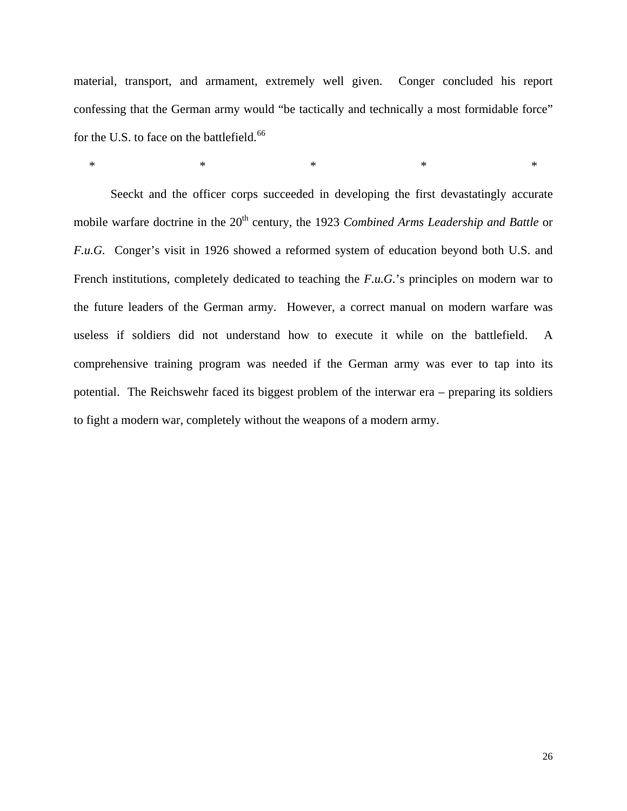material, transport, and armament, extremely well given. Conger concluded his report confessing that the German army would "be tactically and technically a most formidable force" for the U.S. to face on the battlefield.<sup>[66](#page-32-0)</sup>

 $*$  \*  $*$  \*  $*$  \*  $*$  \*

Seeckt and the officer corps succeeded in developing the first devastatingly accurate mobile warfare doctrine in the 20<sup>th</sup> century, the 1923 *Combined Arms Leadership and Battle* or *F.u.G.* Conger's visit in 1926 showed a reformed system of education beyond both U.S. and French institutions, completely dedicated to teaching the *F.u.G.*'s principles on modern war to the future leaders of the German army. However, a correct manual on modern warfare was useless if soldiers did not understand how to execute it while on the battlefield. A comprehensive training program was needed if the German army was ever to tap into its potential. The Reichswehr faced its biggest problem of the interwar era – preparing its soldiers to fight a modern war, completely without the weapons of a modern army.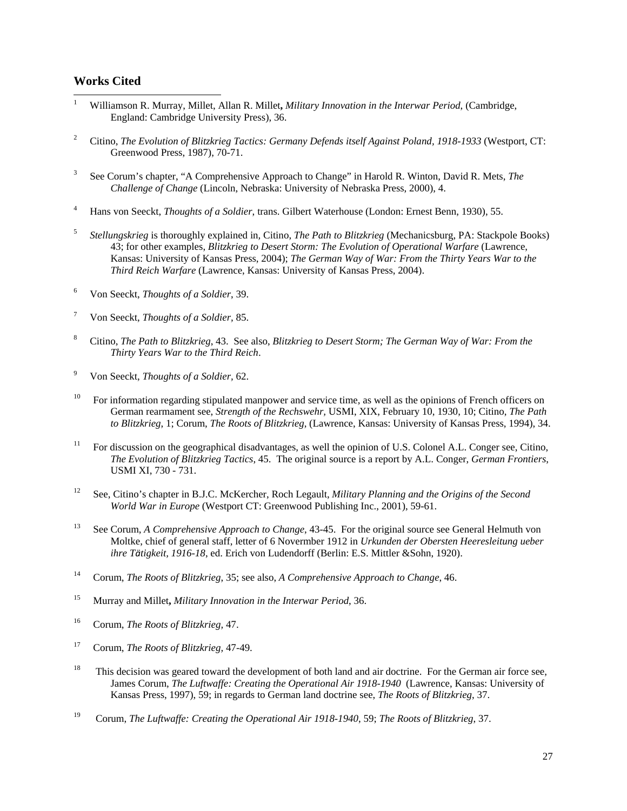### <span id="page-29-1"></span>**Works Cited**

-

- <span id="page-29-0"></span>1 Williamson R. Murray, Millet, Allan R. Millet**,** *Military Innovation in the Interwar Period*, (Cambridge, England: Cambridge University Press), 36.
- 2 Citino, *The Evolution of Blitzkrieg Tactics: Germany Defends itself Against Poland, 1918-1933* (Westport, CT: Greenwood Press, 1987), 70-71.
- 3 See Corum's chapter, "A Comprehensive Approach to Change" in Harold R. Winton, David R. Mets, *The Challenge of Change* (Lincoln, Nebraska: University of Nebraska Press, 2000), 4.
- 4 Hans von Seeckt, *Thoughts of a Soldier*, trans. Gilbert Waterhouse (London: Ernest Benn, 1930), 55.
- 5 *Stellungskrieg* is thoroughly explained in*,* Citino, *The Path to Blitzkrieg* (Mechanicsburg, PA: Stackpole Books) 43; for other examples, *Blitzkrieg to Desert Storm: The Evolution of Operational Warfare* (Lawrence, Kansas: University of Kansas Press, 2004); *The German Way of War: From the Thirty Years War to the Third Reich Warfare* (Lawrence, Kansas: University of Kansas Press, 2004).
- 6 Von Seeckt, *Thoughts of a Soldier*, 39.
- 7 Von Seeckt, *Thoughts of a Soldier,* 85.
- 8 Citino, *The Path to Blitzkrieg*, 43. See also, *Blitzkrieg to Desert Storm; The German Way of War: From the Thirty Years War to the Third Reich*.
- 9 Von Seeckt, *Thoughts of a Soldier,* 62.
- <sup>10</sup> For information regarding stipulated manpower and service time, as well as the opinions of French officers on German rearmament see, *Strength of the Rechswehr,* USMI, XIX, February 10, 1930, 10; Citino, *The Path to Blitzkrieg*, 1; Corum, *The Roots of Blitzkrieg*, (Lawrence, Kansas: University of Kansas Press, 1994), 34.
- <sup>11</sup> For discussion on the geographical disadvantages, as well the opinion of U.S. Colonel A.L. Conger see, Citino, *The Evolution of Blitzkrieg Tactics*, 45. The original source is a report by A.L. Conger, *German Frontiers*, USMI XI, 730 - 731.
- 12 See, Citino's chapter in B.J.C. McKercher, Roch Legault, *Military Planning and the Origins of the Second World War in Europe* (Westport CT: Greenwood Publishing Inc., 2001), 59-61.
- 13 See Corum, *A Comprehensive Approach to Change*, 43-45. For the original source see General Helmuth von Moltke, chief of general staff, letter of 6 Novermber 1912 in *Urkunden der Obersten Heeresleitung ueber ihre Tätigkeit, 1916-18*, ed. Erich von Ludendorff (Berlin: E.S. Mittler &Sohn, 1920).
- 14 Corum, *The Roots of Blitzkrieg*, 35; see also, *A Comprehensive Approach to Change*, 46.
- 15 Murray and Millet**,** *Military Innovation in the Interwar Period*, 36.
- 16 Corum, *The Roots of Blitzkrieg,* 47.
- 17 Corum, *The Roots of Blitzkrieg,* 47-49.
- <sup>18</sup> This decision was geared toward the development of both land and air doctrine. For the German air force see, James Corum, *The Luftwaffe: Creating the Operational Air 1918-1940* (Lawrence, Kansas: University of Kansas Press, 1997), 59; in regards to German land doctrine see, *The Roots of Blitzkrieg*, 37.
- 19 Corum, *The Luftwaffe: Creating the Operational Air 1918-1940*, 59; *The Roots of Blitzkrieg*, 37.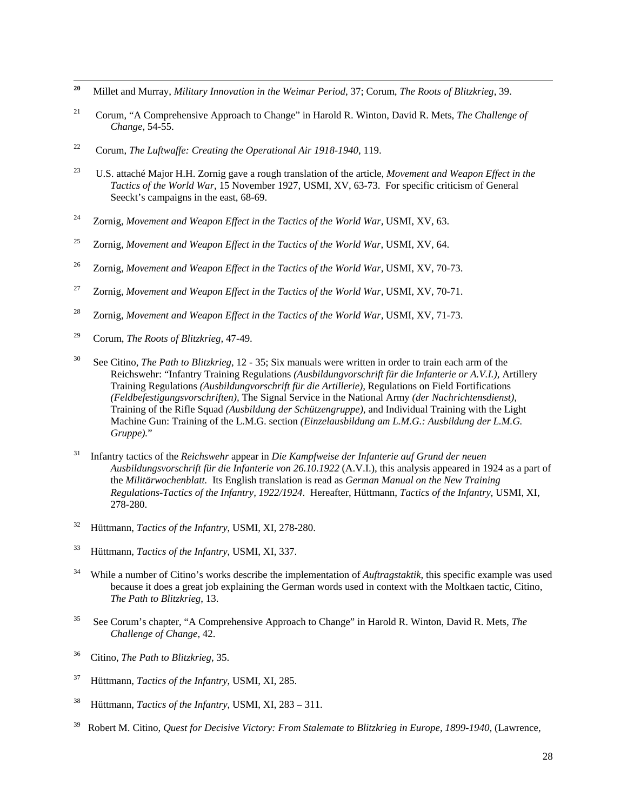- <span id="page-30-0"></span>20 **20** Millet and Murray, *Military Innovation in the Weimar Period*, 37; Corum, *The Roots of Blitzkrieg*, 39.
- 21 Corum, "A Comprehensive Approach to Change" in Harold R. Winton, David R. Mets, *The Challenge of Change*, 54-55.
- 22 Corum, *The Luftwaffe: Creating the Operational Air 1918-1940*, 119.
- 23 U.S. attaché Major H.H. Zornig gave a rough translation of the article, *Movement and Weapon Effect in the Tactics of the World War,* 15 November 1927, USMI, XV, 63-73. For specific criticism of General Seeckt's campaigns in the east, 68-69.
- <sup>24</sup> Zornig, *Movement and Weapon Effect in the Tactics of the World War*, USMI, XV, 63.
- 25 Zornig, *Movement and Weapon Effect in the Tactics of the World War*, USMI, XV, 64.
- <sup>26</sup> Zornig, Movement and Weapon Effect in the Tactics of the World War, USMI, XV, 70-73.
- <sup>27</sup> Zornig, Movement and Weapon Effect in the Tactics of the World War, USMI, XV, 70-71.
- <sup>28</sup> Zornig, Movement and Weapon Effect in the Tactics of the World War, USMI, XV, 71-73.
- 29 Corum, *The Roots of Blitzkrieg,* 47-49.
- 30 See Citino, *The Path to Blitzkrieg*, 12 35; Six manuals were written in order to train each arm of the Reichswehr: "Infantry Training Regulations *(Ausbildungvorschrift für die Infanterie or A.V.I.),* Artillery Training Regulations *(Ausbildungvorschrift für die Artillerie),* Regulations on Field Fortifications *(Feldbefestigungsvorschriften),* The Signal Service in the National Army *(der Nachrichtensdienst),*  Training of the Rifle Squad *(Ausbildung der Schützengruppe),* and Individual Training with the Light Machine Gun: Training of the L.M.G. section *(Einzelausbildung am L.M.G.: Ausbildung der L.M.G. Gruppe).*"
- 31 Infantry tactics of the *Reichswehr* appear in *Die Kampfweise der Infanterie auf Grund der neuen Ausbildungsvorschrift für die Infanterie von 26.10.1922* (A.V.I.), this analysis appeared in 1924 as a part of the *Militärwochenblatt.* Its English translation is read as *German Manual on the New Training Regulations-Tactics of the Infantry, 1922/1924*. Hereafter, Hüttmann, *Tactics of the Infantry*, USMI, XI, 278-280.
- 32 Hüttmann, *Tactics of the Infantry*, USMI, XI, 278-280.
- 33 Hüttmann, *Tactics of the Infantry*, USMI, XI, 337.
- 34 While a number of Citino's works describe the implementation of *Auftragstaktik*, this specific example was used because it does a great job explaining the German words used in context with the Moltkaen tactic, Citino, *The Path to Blitzkrieg*, 13.
- 35 See Corum's chapter, "A Comprehensive Approach to Change" in Harold R. Winton, David R. Mets, *The Challenge of Change*, 42.
- 36 Citino, *The Path to Blitzkrieg*, 35.
- 37 Hüttmann, *Tactics of the Infantry*, USMI, XI, 285.
- 38 Hüttmann, *Tactics of the Infantry*, USMI, XI, 283 311.
- 39 Robert M. Citino, *Quest for Decisive Victory: From Stalemate to Blitzkrieg in Europe, 1899-1940,* (Lawrence,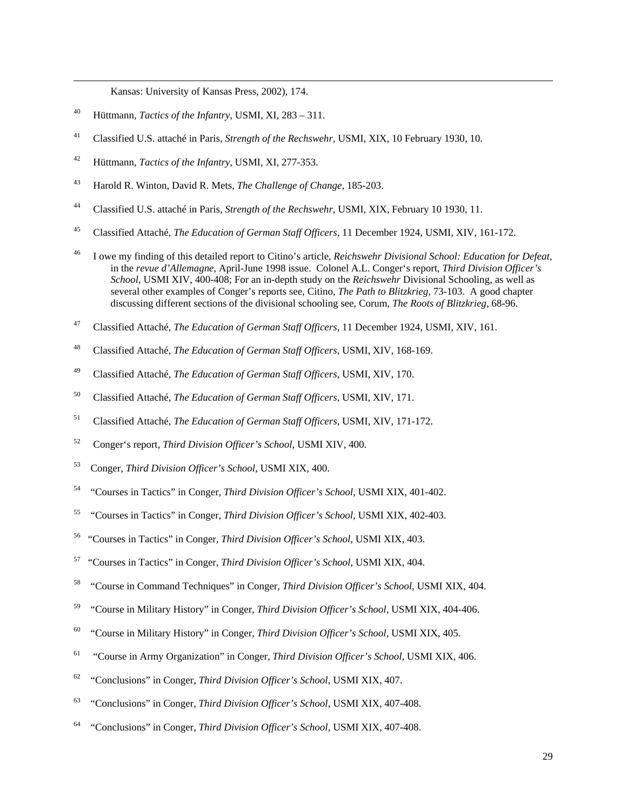Kansas: University of Kansas Press, 2002), 174.

40 Hüttmann, *Tactics of the Infantry*, USMI, XI, 283 – 311.

<span id="page-31-0"></span>-

- 41 Classified U.S. attaché in Paris, *Strength of the Rechswehr,* USMI, XIX, 10 February 1930, 10.
- 42 Hüttmann, *Tactics of the Infantry*, USMI, XI, 277-353.
- 43 Harold R. Winton, David R. Mets, *The Challenge of Change*, 185-203.
- 44 Classified U.S. attaché in Paris, *Strength of the Rechswehr,* USMI, XIX, February 10 1930, 11.
- 45 Classified Attaché, *The Education of German Staff Officers*, 11 December 1924, USMI, XIV, 161-172.
- 46 I owe my finding of this detailed report to Citino's article*, Reichswehr Divisional School: Education for Defeat,* in the *revue d'Allemagne*, April-June 1998 issue. Colonel A.L. Conger's report, *Third Division Officer's School*, USMI XIV, 400-408; For an in-depth study on the *Reichswehr* Divisional Schooling, as well as several other examples of Conger's reports see, Citino, *The Path to Blitzkrieg,* 73-103. A good chapter discussing different sections of the divisional schooling see, Corum, *The Roots of Blitzkrieg*, 68-96.
- 47 Classified Attaché, *The Education of German Staff Officers*, 11 December 1924, USMI, XIV, 161.
- 48 Classified Attaché, *The Education of German Staff Officers*, USMI, XIV, 168-169.
- 49 Classified Attaché, *The Education of German Staff Officers*, USMI, XIV, 170.
- 50 Classified Attaché, *The Education of German Staff Officers*, USMI, XIV, 171.
- 51 Classified Attaché, *The Education of German Staff Officers*, USMI, XIV, 171-172.
- 52 Conger's report, *Third Division Officer's School*, USMI XIV, 400.
- 53 Conger, *Third Division Officer's School*, USMI XIX, 400.
- 54 "Courses in Tactics" in Conger, *Third Division Officer's School*, USMI XIX, 401-402.
- 55 "Courses in Tactics" in Conger, *Third Division Officer's School*, USMI XIX, 402-403.
- 56 "Courses in Tactics" in Conger, *Third Division Officer's School*, USMI XIX, 403.
- 57 "Courses in Tactics" in Conger, *Third Division Officer's School*, USMI XIX, 404.
- 58 "Course in Command Techniques" in Conger, *Third Division Officer's School*, USMI XIX, 404.
- 59 "Course in Military History" in Conger, *Third Division Officer's School*, USMI XIX, 404-406.
- 60 "Course in Military History" in Conger, *Third Division Officer's School*, USMI XIX, 405.
- 61 "Course in Army Organization" in Conger, *Third Division Officer's School*, USMI XIX, 406.
- 62 "Conclusions" in Conger, *Third Division Officer's School*, USMI XIX, 407.
- 63 "Conclusions" in Conger, *Third Division Officer's School*, USMI XIX, 407-408.
- 64 "Conclusions" in Conger, *Third Division Officer's School*, USMI XIX, 407-408.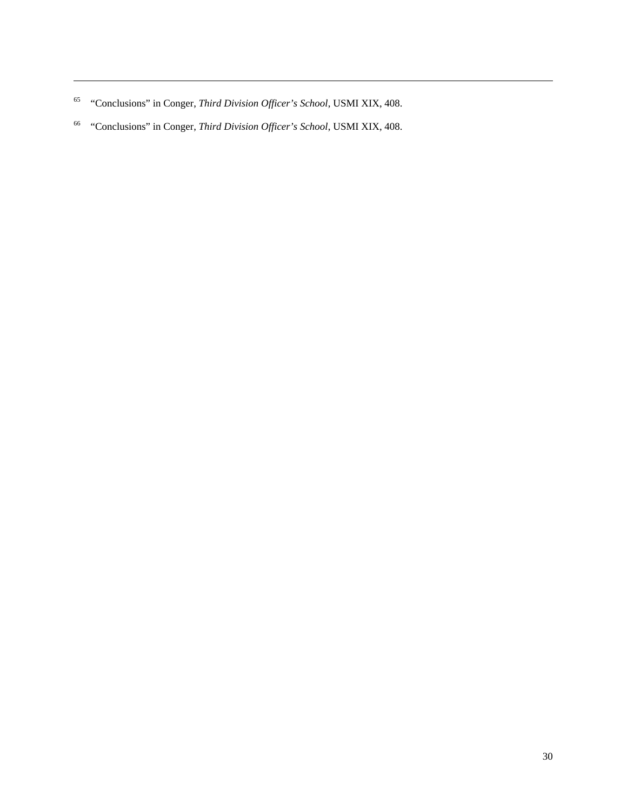65 "Conclusions" in Conger, *Third Division Officer's School*, USMI XIX, 408.

<span id="page-32-0"></span>-

66 "Conclusions" in Conger, *Third Division Officer's School*, USMI XIX, 408.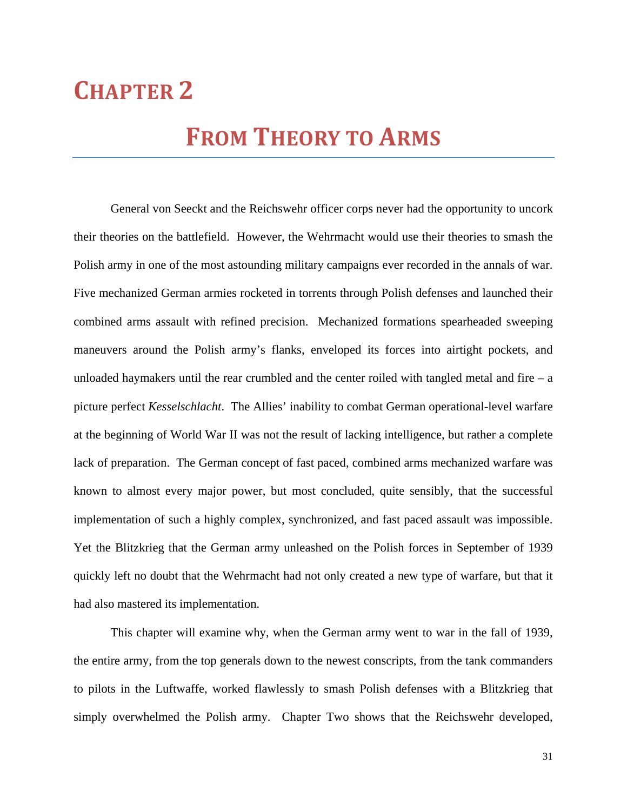# **CHAPTER 2**

# **FROM THEORY TO ARMS**

 General von Seeckt and the Reichswehr officer corps never had the opportunity to uncork their theories on the battlefield. However, the Wehrmacht would use their theories to smash the Polish army in one of the most astounding military campaigns ever recorded in the annals of war. Five mechanized German armies rocketed in torrents through Polish defenses and launched their combined arms assault with refined precision. Mechanized formations spearheaded sweeping maneuvers around the Polish army's flanks, enveloped its forces into airtight pockets, and unloaded haymakers until the rear crumbled and the center roiled with tangled metal and fire  $-$  a picture perfect *Kesselschlacht*. The Allies' inability to combat German operational-level warfare at the beginning of World War II was not the result of lacking intelligence, but rather a complete lack of preparation. The German concept of fast paced, combined arms mechanized warfare was known to almost every major power, but most concluded, quite sensibly, that the successful implementation of such a highly complex, synchronized, and fast paced assault was impossible. Yet the Blitzkrieg that the German army unleashed on the Polish forces in September of 1939 quickly left no doubt that the Wehrmacht had not only created a new type of warfare, but that it had also mastered its implementation.

 This chapter will examine why, when the German army went to war in the fall of 1939, the entire army, from the top generals down to the newest conscripts, from the tank commanders to pilots in the Luftwaffe, worked flawlessly to smash Polish defenses with a Blitzkrieg that simply overwhelmed the Polish army. Chapter Two shows that the Reichswehr developed,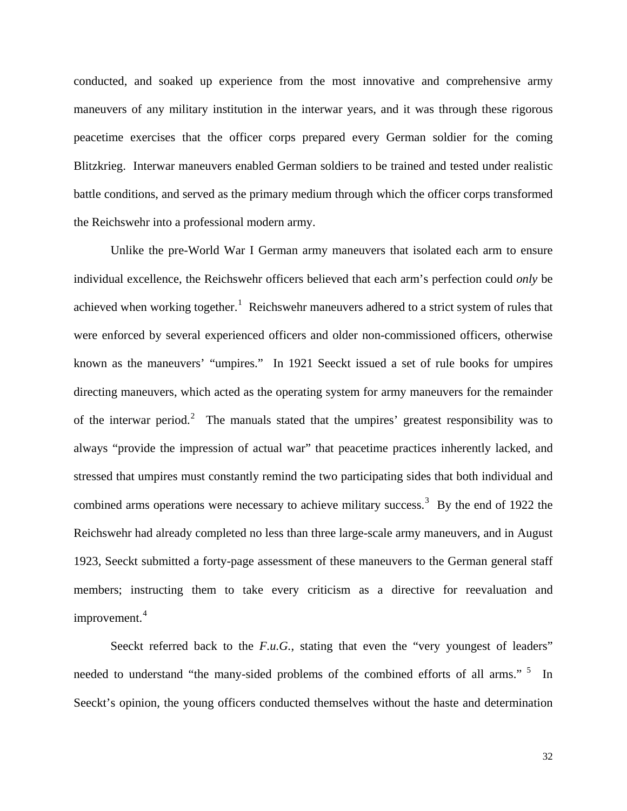conducted, and soaked up experience from the most innovative and comprehensive army maneuvers of any military institution in the interwar years, and it was through these rigorous peacetime exercises that the officer corps prepared every German soldier for the coming Blitzkrieg. Interwar maneuvers enabled German soldiers to be trained and tested under realistic battle conditions, and served as the primary medium through which the officer corps transformed the Reichswehr into a professional modern army.

Unlike the pre-World War I German army maneuvers that isolated each arm to ensure individual excellence, the Reichswehr officers believed that each arm's perfection could *only* be achieved when working together.<sup>[1](#page-55-0)</sup> Reichswehr maneuvers adhered to a strict system of rules that were enforced by several experienced officers and older non-commissioned officers, otherwise known as the maneuvers' "umpires." In 1921 Seeckt issued a set of rule books for umpires directing maneuvers, which acted as the operating system for army maneuvers for the remainder of the interwar period.<sup>[2](#page-55-1)</sup> The manuals stated that the umpires' greatest responsibility was to always "provide the impression of actual war" that peacetime practices inherently lacked, and stressed that umpires must constantly remind the two participating sides that both individual and combined arms operations were necessary to achieve military success.<sup>[3](#page-55-1)</sup> By the end of 1922 the Reichswehr had already completed no less than three large-scale army maneuvers, and in August 1923, Seeckt submitted a forty-page assessment of these maneuvers to the German general staff members; instructing them to take every criticism as a directive for reevaluation and improvement.<sup>[4](#page-55-1)</sup>

Seeckt referred back to the *F.u.G.*, stating that even the "very youngest of leaders" needed to understand "the many-sided problems of the combined efforts of all arms." <sup>[5](#page-55-1)</sup> In Seeckt's opinion, the young officers conducted themselves without the haste and determination

32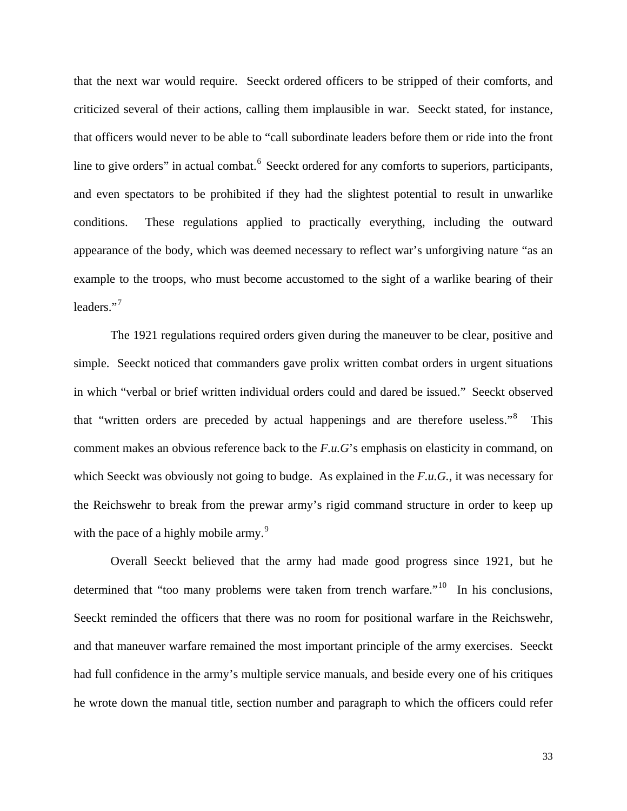that the next war would require. Seeckt ordered officers to be stripped of their comforts, and criticized several of their actions, calling them implausible in war. Seeckt stated, for instance, that officers would never to be able to "call subordinate leaders before them or ride into the front line to give orders" in actual combat.<sup>[6](#page-55-1)</sup> Seeckt ordered for any comforts to superiors, participants, and even spectators to be prohibited if they had the slightest potential to result in unwarlike conditions. These regulations applied to practically everything, including the outward appearance of the body, which was deemed necessary to reflect war's unforgiving nature "as an example to the troops, who must become accustomed to the sight of a warlike bearing of their leaders."<sup>[7](#page-55-1)</sup>

 The 1921 regulations required orders given during the maneuver to be clear, positive and simple. Seeckt noticed that commanders gave prolix written combat orders in urgent situations in which "verbal or brief written individual orders could and dared be issued." Seeckt observed that "written orders are preceded by actual happenings and are therefore useless."<sup>[8](#page-55-1)</sup> This comment makes an obvious reference back to the *F.u.G*'s emphasis on elasticity in command, on which Seeckt was obviously not going to budge. As explained in the *F.u.G.*, it was necessary for the Reichswehr to break from the prewar army's rigid command structure in order to keep up with the pace of a highly mobile army. $9$ 

 Overall Seeckt believed that the army had made good progress since 1921, but he determined that "too many problems were taken from trench warfare."<sup>[10](#page-55-1)</sup> In his conclusions, Seeckt reminded the officers that there was no room for positional warfare in the Reichswehr, and that maneuver warfare remained the most important principle of the army exercises. Seeckt had full confidence in the army's multiple service manuals, and beside every one of his critiques he wrote down the manual title, section number and paragraph to which the officers could refer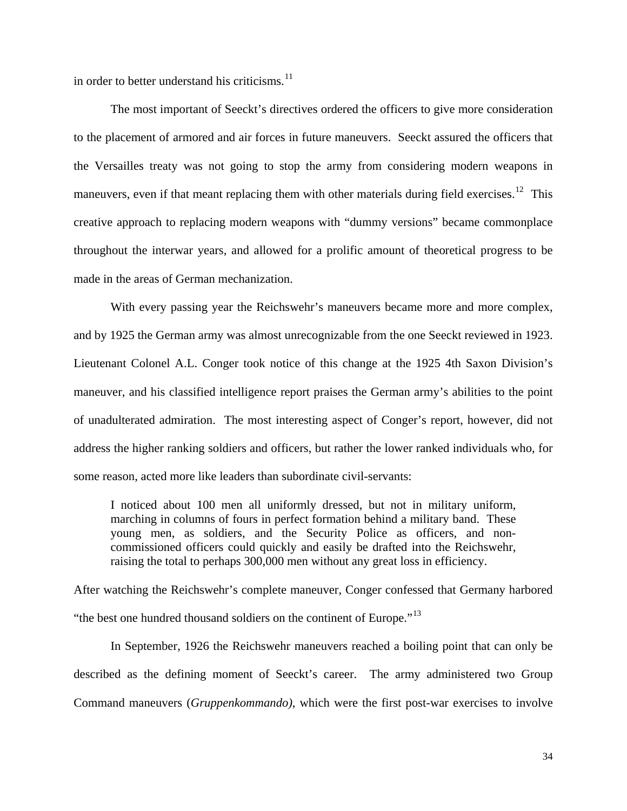in order to better understand his criticisms.<sup>[11](#page-55-1)</sup>

 The most important of Seeckt's directives ordered the officers to give more consideration to the placement of armored and air forces in future maneuvers. Seeckt assured the officers that the Versailles treaty was not going to stop the army from considering modern weapons in maneuvers, even if that meant replacing them with other materials during field exercises.<sup>[12](#page-55-1)</sup> This creative approach to replacing modern weapons with "dummy versions" became commonplace throughout the interwar years, and allowed for a prolific amount of theoretical progress to be made in the areas of German mechanization.

 With every passing year the Reichswehr's maneuvers became more and more complex, and by 1925 the German army was almost unrecognizable from the one Seeckt reviewed in 1923. Lieutenant Colonel A.L. Conger took notice of this change at the 1925 4th Saxon Division's maneuver, and his classified intelligence report praises the German army's abilities to the point of unadulterated admiration. The most interesting aspect of Conger's report, however, did not address the higher ranking soldiers and officers, but rather the lower ranked individuals who, for some reason, acted more like leaders than subordinate civil-servants:

I noticed about 100 men all uniformly dressed, but not in military uniform, marching in columns of fours in perfect formation behind a military band. These young men, as soldiers, and the Security Police as officers, and noncommissioned officers could quickly and easily be drafted into the Reichswehr, raising the total to perhaps 300,000 men without any great loss in efficiency.

After watching the Reichswehr's complete maneuver, Conger confessed that Germany harbored "the best one hundred thousand soldiers on the continent of Europe."<sup>[13](#page-55-1)</sup>

 In September, 1926 the Reichswehr maneuvers reached a boiling point that can only be described as the defining moment of Seeckt's career. The army administered two Group Command maneuvers (*Gruppenkommando)*, which were the first post-war exercises to involve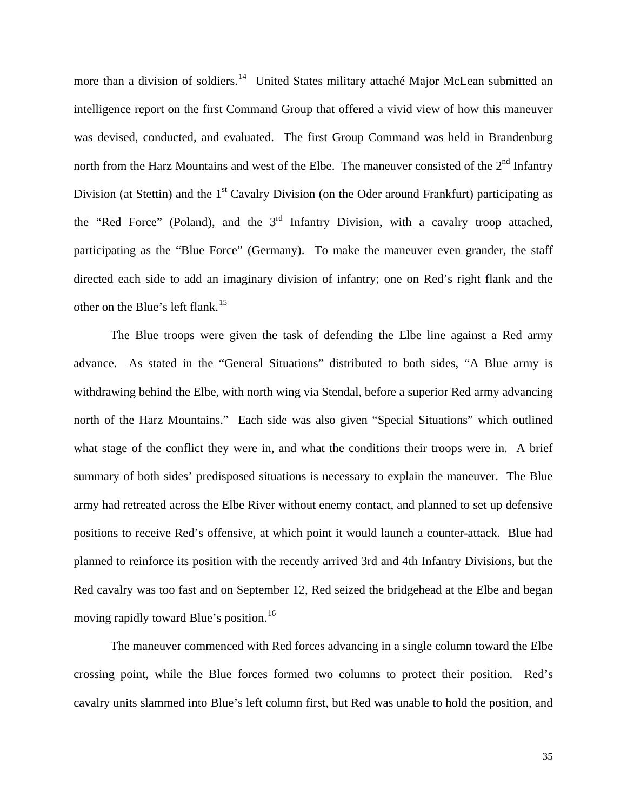more than a division of soldiers.<sup>[14](#page-55-1)</sup> United States military attaché Major McLean submitted an intelligence report on the first Command Group that offered a vivid view of how this maneuver was devised, conducted, and evaluated. The first Group Command was held in Brandenburg north from the Harz Mountains and west of the Elbe. The maneuver consisted of the 2<sup>nd</sup> Infantry Division (at Stettin) and the  $1<sup>st</sup>$  Cavalry Division (on the Oder around Frankfurt) participating as the "Red Force" (Poland), and the  $3<sup>rd</sup>$  Infantry Division, with a cavalry troop attached, participating as the "Blue Force" (Germany). To make the maneuver even grander, the staff directed each side to add an imaginary division of infantry; one on Red's right flank and the other on the Blue's left flank.<sup>[15](#page-55-1)</sup>

 The Blue troops were given the task of defending the Elbe line against a Red army advance. As stated in the "General Situations" distributed to both sides, "A Blue army is withdrawing behind the Elbe, with north wing via Stendal, before a superior Red army advancing north of the Harz Mountains." Each side was also given "Special Situations" which outlined what stage of the conflict they were in, and what the conditions their troops were in. A brief summary of both sides' predisposed situations is necessary to explain the maneuver. The Blue army had retreated across the Elbe River without enemy contact, and planned to set up defensive positions to receive Red's offensive, at which point it would launch a counter-attack. Blue had planned to reinforce its position with the recently arrived 3rd and 4th Infantry Divisions, but the Red cavalry was too fast and on September 12, Red seized the bridgehead at the Elbe and began moving rapidly toward Blue's position.<sup>[16](#page-55-1)</sup>

 The maneuver commenced with Red forces advancing in a single column toward the Elbe crossing point, while the Blue forces formed two columns to protect their position. Red's cavalry units slammed into Blue's left column first, but Red was unable to hold the position, and

35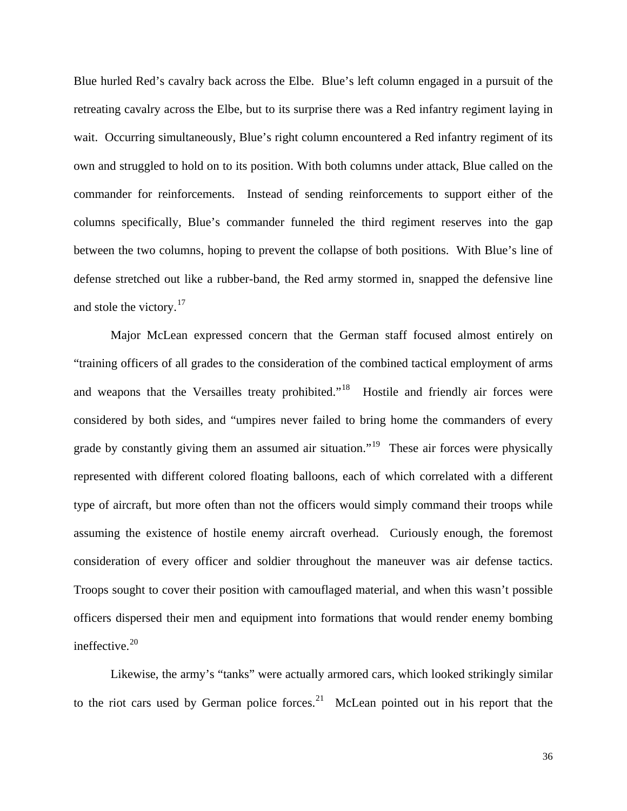Blue hurled Red's cavalry back across the Elbe. Blue's left column engaged in a pursuit of the retreating cavalry across the Elbe, but to its surprise there was a Red infantry regiment laying in wait. Occurring simultaneously, Blue's right column encountered a Red infantry regiment of its own and struggled to hold on to its position. With both columns under attack, Blue called on the commander for reinforcements. Instead of sending reinforcements to support either of the columns specifically, Blue's commander funneled the third regiment reserves into the gap between the two columns, hoping to prevent the collapse of both positions. With Blue's line of defense stretched out like a rubber-band, the Red army stormed in, snapped the defensive line and stole the victory.<sup>[17](#page-55-1)</sup>

 Major McLean expressed concern that the German staff focused almost entirely on "training officers of all grades to the consideration of the combined tactical employment of arms and weapons that the Versailles treaty prohibited."<sup>[18](#page-55-1)</sup> Hostile and friendly air forces were considered by both sides, and "umpires never failed to bring home the commanders of every grade by constantly giving them an assumed air situation."<sup>[19](#page-55-1)</sup> These air forces were physically represented with different colored floating balloons, each of which correlated with a different type of aircraft, but more often than not the officers would simply command their troops while assuming the existence of hostile enemy aircraft overhead. Curiously enough, the foremost consideration of every officer and soldier throughout the maneuver was air defense tactics. Troops sought to cover their position with camouflaged material, and when this wasn't possible officers dispersed their men and equipment into formations that would render enemy bombing ineffective.<sup>[20](#page-55-1)</sup>

 Likewise, the army's "tanks" were actually armored cars, which looked strikingly similar to the riot cars used by German police forces.<sup>[21](#page-55-1)</sup> McLean pointed out in his report that the

36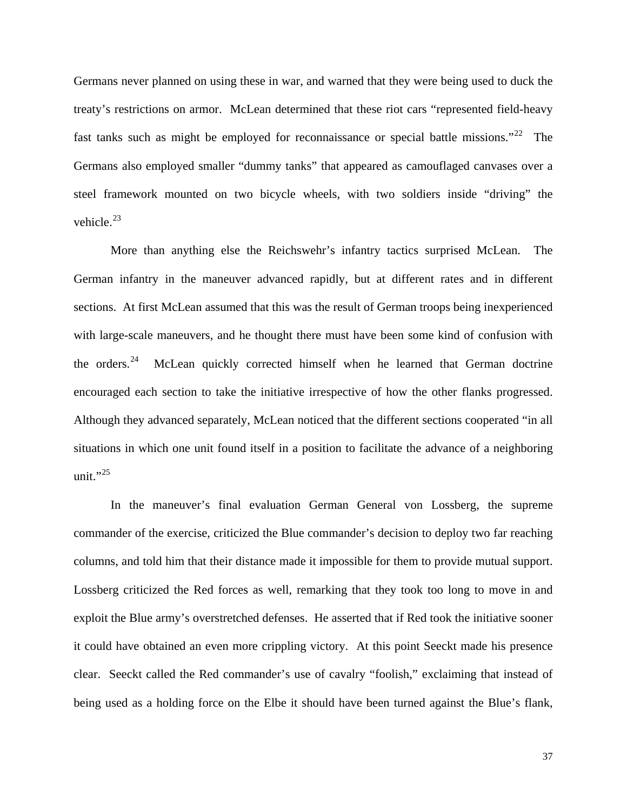Germans never planned on using these in war, and warned that they were being used to duck the treaty's restrictions on armor. McLean determined that these riot cars "represented field-heavy fast tanks such as might be employed for reconnaissance or special battle missions."<sup>[22](#page-55-1)</sup> The Germans also employed smaller "dummy tanks" that appeared as camouflaged canvases over a steel framework mounted on two bicycle wheels, with two soldiers inside "driving" the vehicle. [23](#page-56-0)

situations in which one unit found itself in a position to facilitate the advance of a neighboring unit." $^{25}$ More than anything else the Reichswehr's infantry tactics surprised McLean. The German infantry in the maneuver advanced rapidly, but at different rates and in different sections. At first McLean assumed that this was the result of German troops being inexperienced with large-scale maneuvers, and he thought there must have been some kind of confusion with the orders.[24](#page-56-0) McLean quickly corrected himself when he learned that German doctrine encouraged each section to take the initiative irrespective of how the other flanks progressed. Although they advanced separately, McLean noticed that the different sections cooperated "in all

being used as a holding force on the Elbe it should have been turned against the Blue's flank, In the maneuver's final evaluation German General von Lossberg, the supreme commander of the exercise, criticized the Blue commander's decision to deploy two far reaching columns, and told him that their distance made it impossible for them to provide mutual support. Lossberg criticized the Red forces as well, remarking that they took too long to move in and exploit the Blue army's overstretched defenses. He asserted that if Red took the initiative sooner it could have obtained an even more crippling victory. At this point Seeckt made his presence clear. Seeckt called the Red commander's use of cavalry "foolish," exclaiming that instead of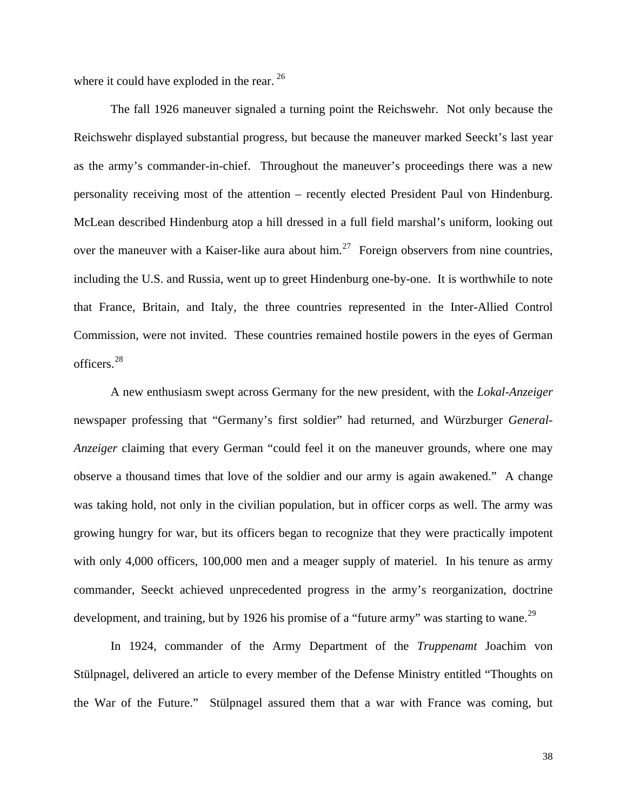where it could have exploded in the rear. <sup>[26](#page-56-0)</sup>

 The fall 1926 maneuver signaled a turning point the Reichswehr. Not only because the Reichswehr displayed substantial progress, but because the maneuver marked Seeckt's last year as the army's commander-in-chief. Throughout the maneuver's proceedings there was a new personality receiving most of the attention – recently elected President Paul von Hindenburg. McLean described Hindenburg atop a hill dressed in a full field marshal's uniform, looking out over the maneuver with a Kaiser-like aura about  $\lim_{n \to \infty} 27$  $\lim_{n \to \infty} 27$  Foreign observers from nine countries, including the U.S. and Russia, went up to greet Hindenburg one-by-one. It is worthwhile to note that France, Britain, and Italy, the three countries represented in the Inter-Allied Control Commission, were not invited. These countries remained hostile powers in the eyes of German  $officers.<sup>28</sup>$  $officers.<sup>28</sup>$  $officers.<sup>28</sup>$ 

 A new enthusiasm swept across Germany for the new president, with the *Lokal-Anzeiger* newspaper professing that "Germany's first soldier" had returned, and Würzburger *General-Anzeiger* claiming that every German "could feel it on the maneuver grounds, where one may observe a thousand times that love of the soldier and our army is again awakened." A change was taking hold, not only in the civilian population, but in officer corps as well. The army was growing hungry for war, but its officers began to recognize that they were practically impotent with only 4,000 officers, 100,000 men and a meager supply of materiel. In his tenure as army commander, Seeckt achieved unprecedented progress in the army's reorganization, doctrine development, and training, but by 1926 his promise of a "future army" was starting to wane.<sup>[29](#page-56-0)</sup>

 In 1924, commander of the Army Department of the *Truppenamt* Joachim von Stülpnagel, delivered an article to every member of the Defense Ministry entitled "Thoughts on the War of the Future." Stülpnagel assured them that a war with France was coming, but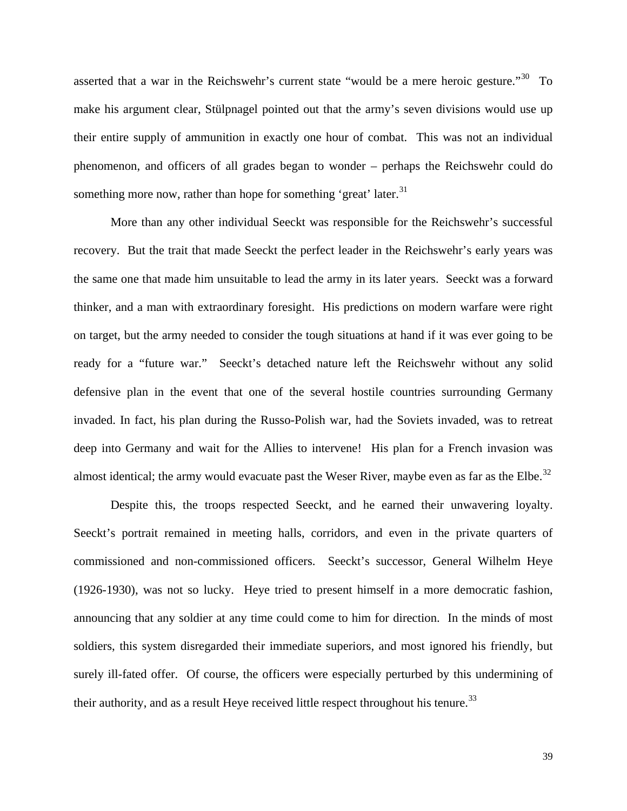asserted that a war in the Reichswehr's current state "would be a mere heroic gesture."<sup>[30](#page-56-0)</sup> To make his argument clear, Stülpnagel pointed out that the army's seven divisions would use up their entire supply of ammunition in exactly one hour of combat. This was not an individual phenomenon, and officers of all grades began to wonder – perhaps the Reichswehr could do something more now, rather than hope for something 'great' later. $31$ 

almost identical; the army would evacuate past the Weser River, maybe even as far as the Elbe.<sup>[32](#page-56-0)</sup> More than any other individual Seeckt was responsible for the Reichswehr's successful recovery. But the trait that made Seeckt the perfect leader in the Reichswehr's early years was the same one that made him unsuitable to lead the army in its later years. Seeckt was a forward thinker, and a man with extraordinary foresight. His predictions on modern warfare were right on target, but the army needed to consider the tough situations at hand if it was ever going to be ready for a "future war." Seeckt's detached nature left the Reichswehr without any solid defensive plan in the event that one of the several hostile countries surrounding Germany invaded. In fact, his plan during the Russo-Polish war, had the Soviets invaded, was to retreat deep into Germany and wait for the Allies to intervene! His plan for a French invasion was

[surely ill-fated offer. Of course, the officers were especially perturbed by this und](#page-56-0)ermining of  [Despite this, the troops respected Seeckt, and he earned their unwavering loyalty.](#page-56-0)  Seeckt's portrait remained in meeting halls, corridors, and even in the private quarters of [commissioned and non-commissioned officers. Seeckt's successor, General Wilhelm Heye](#page-56-0)  [\(1926-1930\), was not so lucky. Heye tried to present himself in a more democratic fashion,](#page-56-0)  [announcing that any soldier at any time could come to him for direction. In the minds of most](#page-56-0)  [soldiers, this system disregarded their immediate superiors, and most ignored his friendly, but](#page-56-0)  their authority, and as a result Heye received little respect throughout his tenure.<sup>[33](#page-56-0)</sup>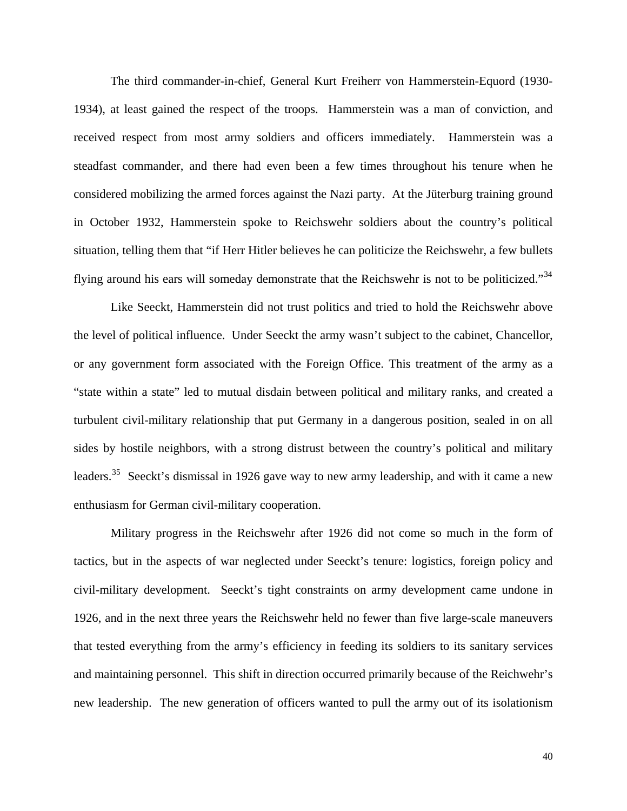The third commander-in-chief, General Kurt Freiherr von Hammerstein-Equord (1930- 1934), at least gained the respect of the troops. Hammerstein was a man of conviction, and received respect from most army soldiers and officers immediately. Hammerstein was a steadfast commander, and there had even been a few times throughout his tenure when he considered mobilizing the armed forces against the Nazi party. At the Jüterburg training ground in October 1932, Hammerstein spoke to Reichswehr soldiers about the country's political situation, telling them that "if Herr Hitler believes he can politicize the Reichswehr, a few bullets flying around his ears will someday demonstrate that the Reichswehr is not to be politicized."<sup>[34](#page-56-0)</sup>

leaders.<sup>[35](#page-56-0)</sup> Seeckt's dismissal in 1926 gave way to new army leadership, and with it came a new Like Seeckt, Hammerstein did not trust politics and tried to hold the Reichswehr above the level of political influence. Under Seeckt the army wasn't subject to the cabinet, Chancellor, or any government form associated with the Foreign Office. This treatment of the army as a "state within a state" led to mutual disdain between political and military ranks, and created a turbulent civil-military relationship that put Germany in a dangerous position, sealed in on all sides by hostile neighbors, with a strong distrust between the country's political and military enthusiasm for German civil-military cooperation.

 Military progress in the Reichswehr after 1926 did not come so much in the form of tactics, but in the aspects of war neglected under Seeckt's tenure: logistics, foreign policy and civil-military development. Seeckt's tight constraints on army development came undone in 1926, and in the next three years the Reichswehr held no fewer than five large-scale maneuvers that tested everything from the army's efficiency in feeding its soldiers to its sanitary services and maintaining personnel. This shift in direction occurred primarily because of the Reichwehr's new leadership. The new generation of officers wanted to pull the army out of its isolationism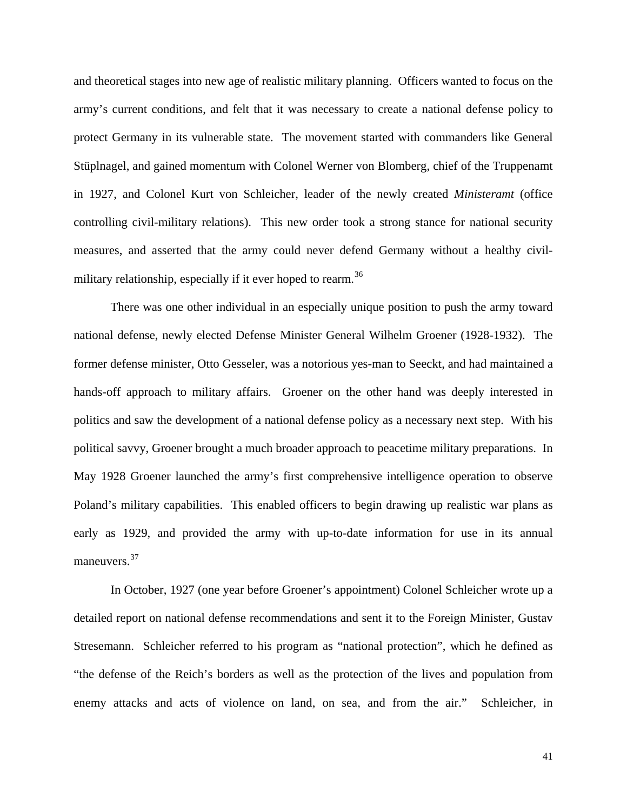and theoretical stages into new age of realistic military planning. Officers wanted to focus on the army's current conditions, and felt that it was necessary to create a national defense policy to protect Germany in its vulnerable state. The movement started with commanders like General Stüplnagel, and gained momentum with Colonel Werner von Blomberg, chief of the Truppenamt in 1927, and Colonel Kurt von Schleicher, leader of the newly created *Ministeramt* (office controlling civil-military relations). This new order took a strong stance for national security measures, and asserted that the army could never defend Germany without a healthy civil-military relationship, especially if it ever hoped to rearm.<sup>[36](#page-56-0)</sup>

early as 1929, and provided the army with up-to-date information for use in its annual maneuvers.<sup>37</sup> There was one other individual in an especially unique position to push the army toward national defense, newly elected Defense Minister General Wilhelm Groener (1928-1932). The former defense minister, Otto Gesseler, was a notorious yes-man to Seeckt, and had maintained a hands-off approach to military affairs. Groener on the other hand was deeply interested in politics and saw the development of a national defense policy as a necessary next step. With his political savvy, Groener brought a much broader approach to peacetime military preparations. In May 1928 Groener launched the army's first comprehensive intelligence operation to observe Poland's military capabilities. This enabled officers to begin drawing up realistic war plans as

In October, 1927 (one year before Groener's appointment) Colonel Schleicher wrote up a detailed report on national defense recommendations and sent it to the Foreign Minister, Gustav Stresemann. Schleicher referred to his program as "national protection", which he defined as "the defense of the Reich's borders as well as the protection of the lives and population from enemy attacks and acts of violence on land, on sea, and from the air." Schleicher, in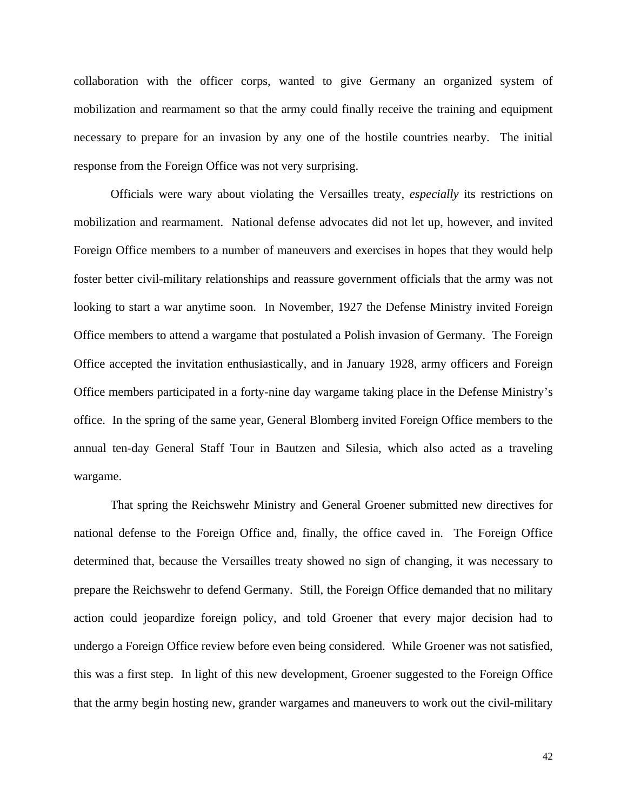collaboration with the officer corps, wanted to give Germany an organized system of mobilization and rearmament so that the army could finally receive the training and equipment necessary to prepare for an invasion by any one of the hostile countries nearby. The initial respons e from the Foreign Office was not very surprising.

annual ten-day General Staff Tour in Bautzen and Silesia, which also acted as a traveling wargam e. Officials were wary about violating the Versailles treaty, *especially* its restrictions on mobilization and rearmament. National defense advocates did not let up, however, and invited Foreign Office members to a number of maneuvers and exercises in hopes that they would help foster better civil-military relationships and reassure government officials that the army was not looking to start a war anytime soon. In November, 1927 the Defense Ministry invited Foreign Office members to attend a wargame that postulated a Polish invasion of Germany. The Foreign Office accepted the invitation enthusiastically, and in January 1928, army officers and Foreign Office members participated in a forty-nine day wargame taking place in the Defense Ministry's office. In the spring of the same year, General Blomberg invited Foreign Office members to the

That spring the Reichswehr Ministry and General Groener submitted new directives for national defense to the Foreign Office and, finally, the office caved in. The Foreign Office determined that, because the Versailles treaty showed no sign of changing, it was necessary to prepare the Reichswehr to defend Germany. Still, the Foreign Office demanded that no military action could jeopardize foreign policy, and told Groener that every major decision had to undergo a Foreign Office review before even being considered. While Groener was not satisfied, this was a first step. In light of this new development, Groener suggested to the Foreign Office that the army begin hosting new, grander wargames and maneuvers to work out the civil-military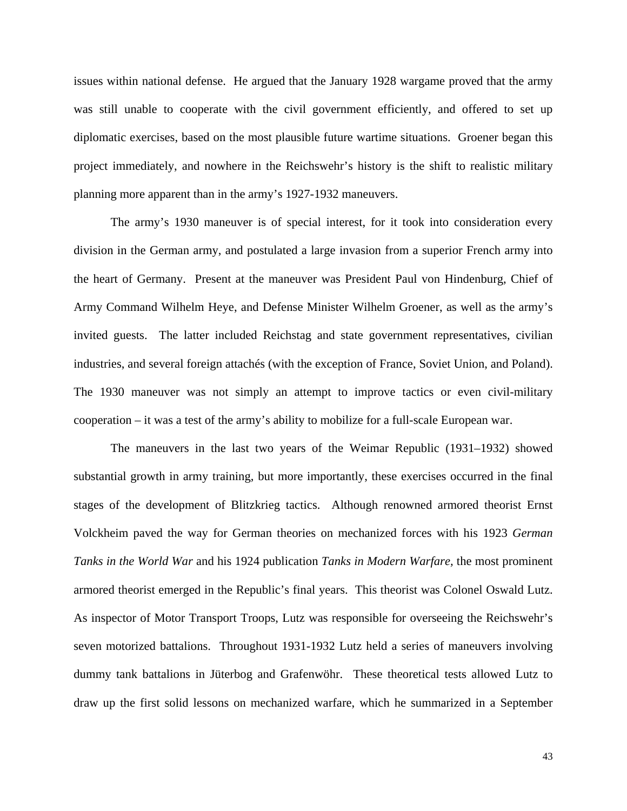issues within national defense. He argued that the January 1928 wargame proved that the army was still unable to cooperate with the civil government efficiently, and offered to set up diplomatic exercises, based on the most plausible future wartime situations. Groener began this project immediately, and nowhere in the Reichswehr's history is the shift to realistic military planning more apparent than in the army's 1927-1932 maneuvers.

The 1930 maneuver was not simply an attempt to improve tactics or even civil-military The army's 1930 maneuver is of special interest, for it took into consideration every division in the German army, and postulated a large invasion from a superior French army into the heart of Germany. Present at the maneuver was President Paul von Hindenburg, Chief of Army Command Wilhelm Heye, and Defense Minister Wilhelm Groener, as well as the army's invited guests. The latter included Reichstag and state government representatives, civilian industries, and several foreign attachés (with the exception of France, Soviet Union, and Poland). cooperation – it was a test of the army's ability to mobilize for a full-scale European war.

draw up the first solid lessons on mechanized warfare, which he summarized in a September The maneuvers in the last two years of the Weimar Republic (1931–1932) showed substantial growth in army training, but more importantly, these exercises occurred in the final stages of the development of Blitzkrieg tactics. Although renowned armored theorist Ernst Volckheim paved the way for German theories on mechanized forces with his 1923 *German Tanks in the World War* and his 1924 publication *Tanks in Modern Warfare,* the most prominent armored theorist emerged in the Republic's final years. This theorist was Colonel Oswald Lutz. As inspector of Motor Transport Troops, Lutz was responsible for overseeing the Reichswehr's seven motorized battalions. Throughout 1931-1932 Lutz held a series of maneuvers involving dummy tank battalions in Jüterbog and Grafenwöhr. These theoretical tests allowed Lutz to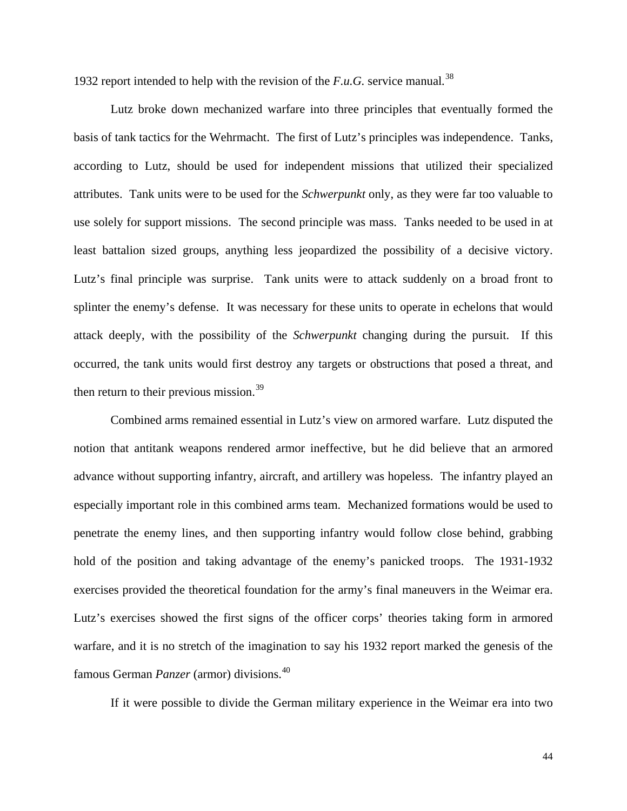1932 report intended to help with the revision of the *F.u.G.* service manual*.* [38](#page-56-0)

 Lutz broke down mechanized warfare into three principles that eventually formed the basis of tank tactics for the Wehrmacht. The first of Lutz's principles was independence. Tanks, according to Lutz, should be used for independent missions that utilized their specialized attributes. Tank units were to be used for the *Schwerpunkt* only, as they were far too valuable to use solely for support missions. The second principle was mass. Tanks needed to be used in at least battalion sized groups, anything less jeopardized the possibility of a decisive victory. Lutz's final principle was surprise. Tank units were to attack suddenly on a broad front to splinter the enemy's defense. It was necessary for these units to operate in echelons that would attack deeply, with the possibility of the *Schwerpunkt* changing during the pursuit. If this occurred, the tank units would first destroy any targets or obstructions that posed a threat, and then return to their previous mission.<sup>[39](#page-56-0)</sup>

warfare, and it is no stretch of the imagination to say his 1932 report marked the genesis of the famous German *Panzer* (armor) divisions.<sup>[40](#page-56-0)</sup> Combined arms remained essential in Lutz's view on armored warfare. Lutz disputed the notion that antitank weapons rendered armor ineffective, but he did believe that an armored advance without supporting infantry, aircraft, and artillery was hopeless. The infantry played an especially important role in this combined arms team. Mechanized formations would be used to penetrate the enemy lines, and then supporting infantry would follow close behind, grabbing hold of the position and taking advantage of the enemy's panicked troops. The 1931-1932 exercises provided the theoretical foundation for the army's final maneuvers in the Weimar era. Lutz's exercises showed the first signs of the officer corps' theories taking form in armored

 [If it were possible to divide the German military experience in the Weimar era into two](#page-56-0)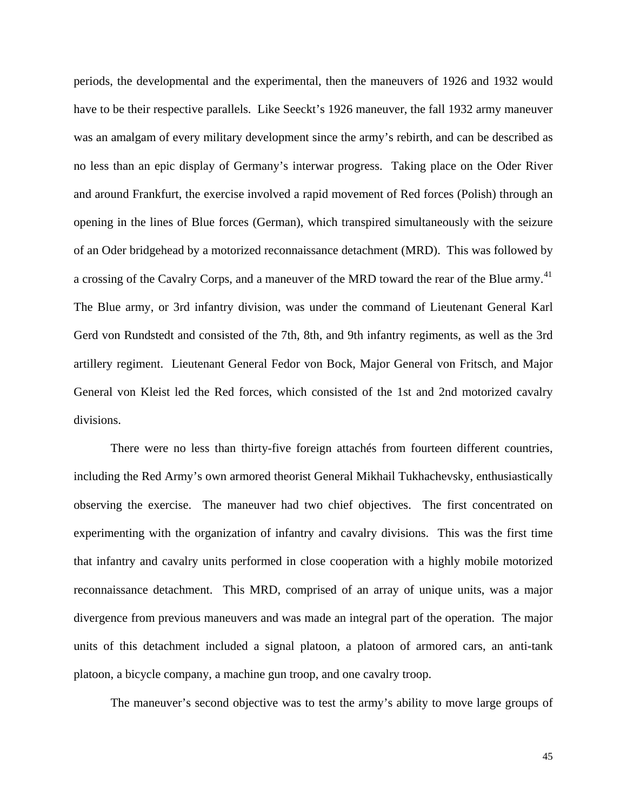[periods, the developmental and the experimental, then the maneuvers of 1926 and 1932 would](#page-56-0)  have to be their respective parallels. Like Seeckt's 1926 maneuver, the fall 1932 army maneuver [was an amalgam of every military development since the army's rebirth, and can be described as](#page-56-0)  [no less than an epic display of Germany's interwar progress. Taking place on the Oder River](#page-56-0)  [and around Frankfurt, the exercise involved a rapid movement of Red forces \(Polish\) through an](#page-56-0)  [opening in the lines of Blue forces \(German\), which transpired simultaneously with the seizure](#page-56-0)  [of an Oder bridgehead by a motorized reconnaissance detachment \(MRD\). This was followed by](#page-56-0)  [a crossing of the Cavalry Corps, and a maneuver of the MRD toward the rear of the Blue army.](#page-56-0)<sup>41</sup> [The Blue army, or 3rd infantry division, was under the command of Lieutenant General Karl](#page-56-0)  [Gerd von Rundstedt and consisted of the 7th, 8th, and 9th infantry regiments, as well as the 3rd](#page-56-0)  [artillery regiment. Lieutenant General Fedor von Bock, Major General von Fritsch, and Major](#page-56-0)  [General von](#page-56-0) Kleist led the Red forces, which consisted of the 1st and 2nd motorized cavalry divisions.

units of this detachment included a signal platoon, a platoon of armored cars, an anti-tank platoon , a bicycle company, a machine gun troop, and one cavalry troop. There were no less than thirty-five foreign attachés from fourteen different countries, including the Red Army's own armored theorist General Mikhail Tukhachevsky, enthusiastically observing the exercise. The maneuver had two chief objectives. The first concentrated on experimenting with the organization of infantry and cavalry divisions. This was the first time that infantry and cavalry units performed in close cooperation with a highly mobile motorized reconnaissance detachment. This MRD, comprised of an array of unique units, was a major divergence from previous maneuvers and was made an integral part of the operation. The major

The maneuver's second objective was to test the army's ability to move large groups of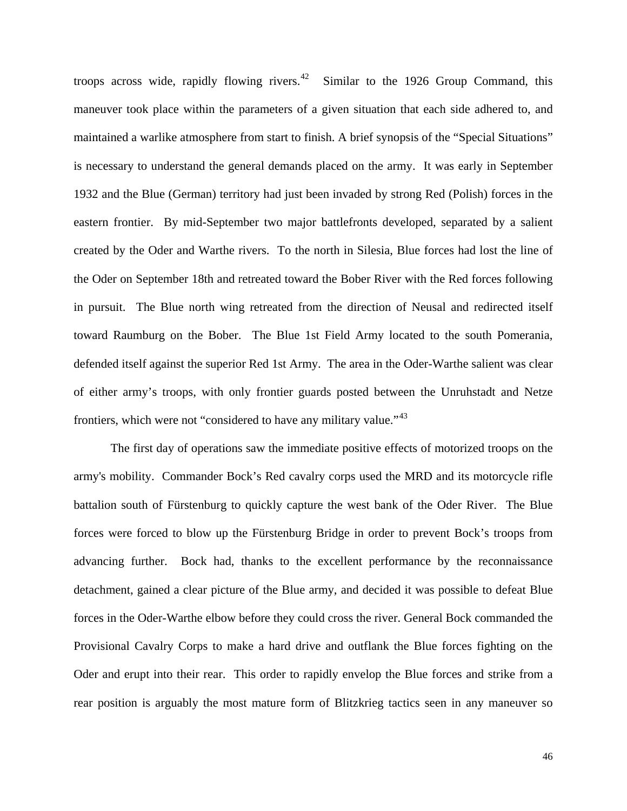troops across wide, rapidly flowing rivers.<sup>[42](#page-56-0)</sup> Similar to the 1926 Group Command, this maneuver took place within the parameters of a given situation that each side adhered to, and maintained a warlike atmosphere from start to finish. A brief synopsis of the "Special Situations" is necessary to understand the general demands placed on the army. It was early in September 1932 and the Blue (German) territory had just been invaded by strong Red (Polish) forces in the eastern frontier. By mid-September two major battlefronts developed, separated by a salient created by the Oder and Warthe rivers. To the north in Silesia, Blue forces had lost the line of the Oder on September 18th and retreated toward the Bober River with the Red forces following in pursuit. The Blue north wing retreated from the direction of Neusal and redirected itself toward Raumburg on the Bober. The Blue 1st Field Army located to the south Pomerania, defended itself against the superior Red 1st Army. The area in the Oder-Warthe salient was clear of either army's troops, with only frontier guards posted between the Unruhstadt and Netze frontiers, which were not "considered to have any military value."<sup>[43](#page-56-0)</sup>

rear position is arguably the most mature form of Blitzkrieg tactics seen in any maneuver so The first day of operations saw the immediate positive effects of motorized troops on the army's mobility. Commander Bock's Red cavalry corps used the MRD and its motorcycle rifle battalion south of Fürstenburg to quickly capture the west bank of the Oder River. The Blue forces were forced to blow up the Fürstenburg Bridge in order to prevent Bock's troops from advancing further. Bock had, thanks to the excellent performance by the reconnaissance detachment, gained a clear picture of the Blue army, and decided it was possible to defeat Blue forces in the Oder-Warthe elbow before they could cross the river. General Bock commanded the Provisional Cavalry Corps to make a hard drive and outflank the Blue forces fighting on the Oder and erupt into their rear. This order to rapidly envelop the Blue forces and strike from a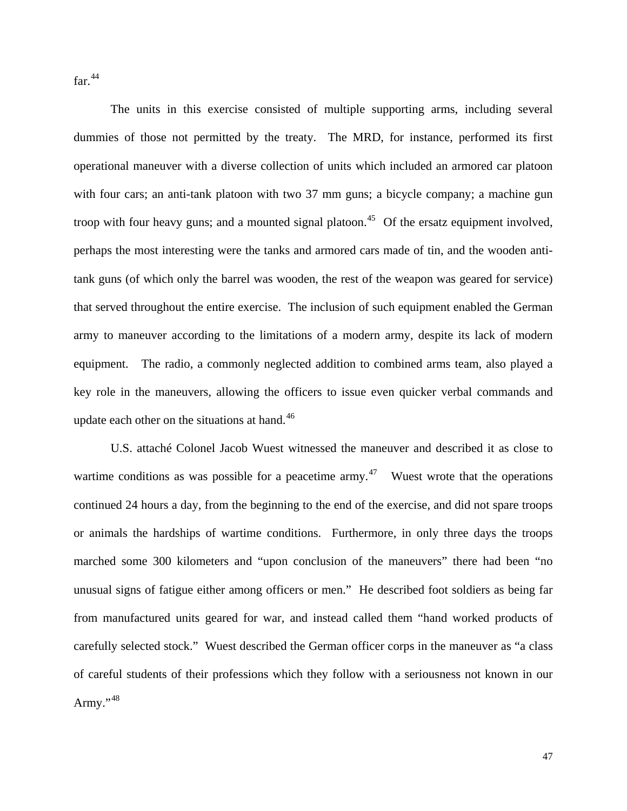far. $44$ 

 The units in this exercise consisted of multiple supporting arms, including several dummies of those not permitted by the treaty. The MRD, for instance, performed its first operational maneuver with a diverse collection of units which included an armored car platoon with four cars; an anti-tank platoon with two 37 mm guns; a bicycle company; a machine gun troop with four heavy guns; and a mounted signal platoon.<sup>[45](#page-56-0)</sup> Of the ersatz equipment involved, key role in the maneuvers, allowing the officers to issue even quicker verbal commands and perhaps the most interesting were the tanks and armored cars made of tin, and the wooden antitank guns (of which only the barrel was wooden, the rest of the weapon was geared for service) that served throughout the entire exercise. The inclusion of such equipment enabled the German army to maneuver according to the limitations of a modern army, despite its lack of modern equipment. The radio, a commonly neglected addition to combined arms team, also played a update each other on the situations at hand. $46$ 

of careful students of their professions which they follow with a seriousness not known in our Army."<sup>[48](#page-57-0)</sup> U.S. attaché Colonel Jacob Wuest witnessed the maneuver and described it as close to wartime conditions as was possible for a peacetime army.<sup>[47](#page-57-0)</sup> Wuest wrote that the operations continued 24 hours a day, from the beginning to the end of the exercise, and did not spare troops or animals the hardships of wartime conditions. Furthermore, in only three days the troops marched some 300 kilometers and "upon conclusion of the maneuvers" there had been "no unusual signs of fatigue either among officers or men." He described foot soldiers as being far from manufactured units geared for war, and instead called them "hand worked products of carefully selected stock." Wuest described the German officer corps in the maneuver as "a class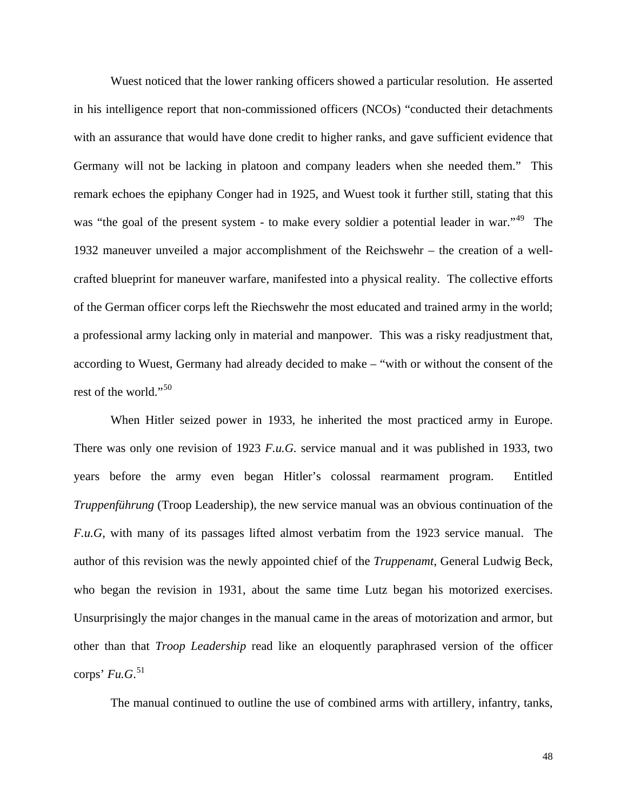Wuest noticed that the lower ranking officers showed a particular resolution. He asserted in his intelligence report that non-commissioned officers (NCOs) "conducted their detachments with an assurance that would have done credit to higher ranks, and gave sufficient evidence that Germany will not be lacking in platoon and company leaders when she needed them." This remark echoes the epiphany Conger had in 1925, and Wuest took it further still, stating that this was "the goal of the present system - to make every soldier a potential leader in war."<sup>[49](#page-57-0)</sup> The 1932 maneuver unveiled a major accomplishment of the Reichswehr – the creation of a wellcrafted blueprint for maneuver warfare, manifested into a physical reality. The collective efforts of the German officer corps left the Riechswehr the most educated and trained army in the world; a professional army lacking only in material and manpower. This was a risky readjustment that, according to Wuest, Germany had already decided to make – "with or without the consent of the rest of the world."<sup>[50](#page-57-0)</sup>

other than that *Troop Leadership* read like an eloquently paraphrased version of the officer  $\text{corps'}\, Fu.G.<sup>51</sup>$  $\text{corps'}\, Fu.G.<sup>51</sup>$  $\text{corps'}\, Fu.G.<sup>51</sup>$ [When Hitler seized power in 1933, he inherited the most practiced army in Europe.](#page-57-0)  [There was only one revision of 1923](#page-57-0) *F.u.G.* service manual and it was published in 1933, two [years before the army even began Hitler's colossal rearmament program. Entitled](#page-57-0)  *Truppenführung* [\(Troop Leadership\), the new service manual was an obvious continuation of the](#page-57-0)  *F.u.G*[, with many of its passages lifted almost verbatim from the 1923 service manual. The](#page-57-0)  [author of this revision was the newly appointed chief of the](#page-57-0) *Truppenamt*, General Ludwig Beck, [who began the revision in 1931, about the same time Lutz began his motorized exercises.](#page-57-0)  [Unsurprisingly the major changes in the manual came in the areas of motorization and armor, but](#page-57-0) 

The manual continued to outline the use of combined arms with artillery, infantry, tanks,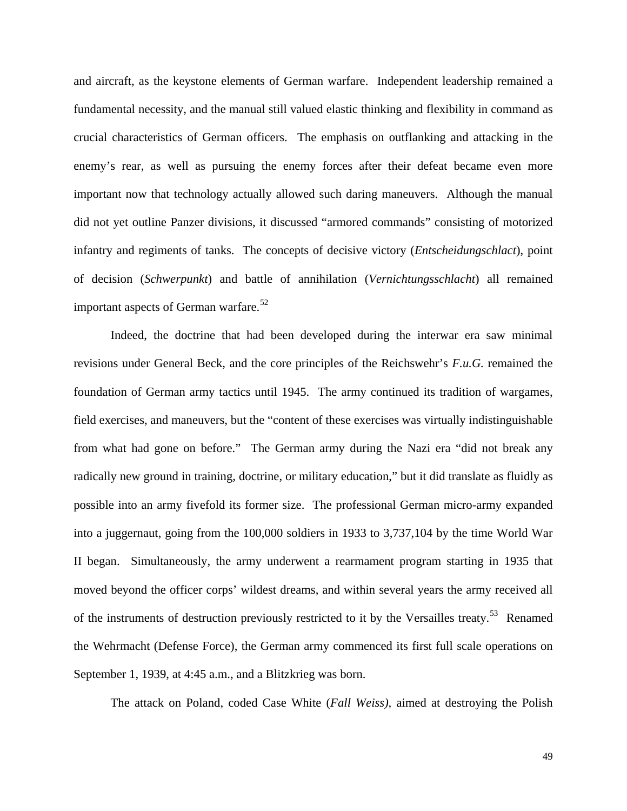and aircraft, as the keystone elements of German warfare. Independent leadership remained a fundamental necessity, and the manual still valued elastic thinking and flexibility in command as crucial characteristics of German officers. The emphasis on outflanking and attacking in the enemy's rear, as well as pursuing the enemy forces after their defeat became even more important now that technology actually allowed such daring maneuvers. Although the manual did not yet outline Panzer divisions, it discussed "armored commands" consisting of motorized infantry and regiments of tanks. The concepts of decisive victory (*Entscheidungschlact*), point of decision (*Schwerpunkt*) and battle of annihilation (*Vernichtungsschlacht*) all remained important aspects of German warfare.<sup>[52](#page-57-0)</sup>

the Wehrmacht (Defense Force), the German army commenced its first full scale operations on September 1, 1939, at 4:45 a.m., and a Blitzkrieg was born. Indeed, the doctrine that had been developed during the interwar era saw minimal revisions under General Beck, and the core principles of the Reichswehr's *F.u.G.* remained the foundation of German army tactics until 1945. The army continued its tradition of wargames, field exercises, and maneuvers, but the "content of these exercises was virtually indistinguishable from what had gone on before." The German army during the Nazi era "did not break any radically new ground in training, doctrine, or military education," but it did translate as fluidly as possible into an army fivefold its former size. The professional German micro-army expanded into a juggernaut, going from the 100,000 soldiers in 1933 to 3,737,104 by the time World War II began. Simultaneously, the army underwent a rearmament program starting in 1935 that moved beyond the officer corps' wildest dreams, and within several years the army received all of the instruments of destruction previously restricted to it by the Versailles treaty.<sup>[53](#page-57-0)</sup> Renamed

The attack on Poland, coded Case White (*Fall Weiss),* aimed at destroying the Polish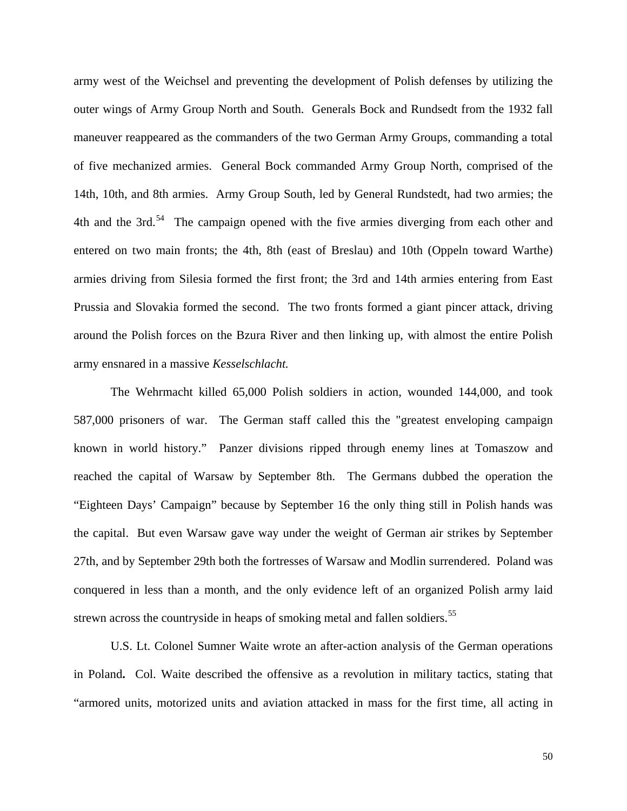army west of the Weichsel and preventing the development of Polish defenses by utilizing the outer wings of Army Group North and South. Generals Bock and Rundsedt from the 1932 fall maneuver reappeared as the commanders of the two German Army Groups, commanding a total of five mechanized armies. General Bock commanded Army Group North, comprised of the 14th, 10th, and 8th armies. Army Group South, led by General Rundstedt, had two armies; the 4th and the 3rd. $54$  The campaign opened with the five armies diverging from each other and entered on two main fronts; the 4th, 8th (east of Breslau) and 10th (Oppeln toward Warthe) armies driving from Silesia formed the first front; the 3rd and 14th armies entering from East Prussia and Slovakia formed the second. The two fronts formed a giant pincer attack, driving around the Polish forces on the Bzura River and then linking up, with almost the entire Polish army ensnared in a massive *Kesselschlacht*.

conquered in less than a month, and the only evidence left of an organized Polish army laid The Wehrmacht killed 65,000 Polish soldiers in action, wounded 144,000, and took 587,000 prisoners of war. The German staff called this the "greatest enveloping campaign known in world history." Panzer divisions ripped through enemy lines at Tomaszow and reached the capital of Warsaw by September 8th. The Germans dubbed the operation the "Eighteen Days' Campaign" because by September 16 the only thing still in Polish hands was the capital. But even Warsaw gave way under the weight of German air strikes by September 27th, and by September 29th both the fortresses of Warsaw and Modlin surrendered. Poland was strewn across the countryside in heaps of smoking metal and fallen soldiers.<sup>[55](#page-57-0)</sup>

 [U.S. Lt. Colonel Sumner Waite wrote an after-action analysis of the German operations](#page-57-0)  in Poland**.** Col. [Waite described the offensive as a revolution in military tactics, stating that](#page-57-0)  ["armored units, motorized units and aviation attacked in mass for the first time, all acting in](#page-57-0)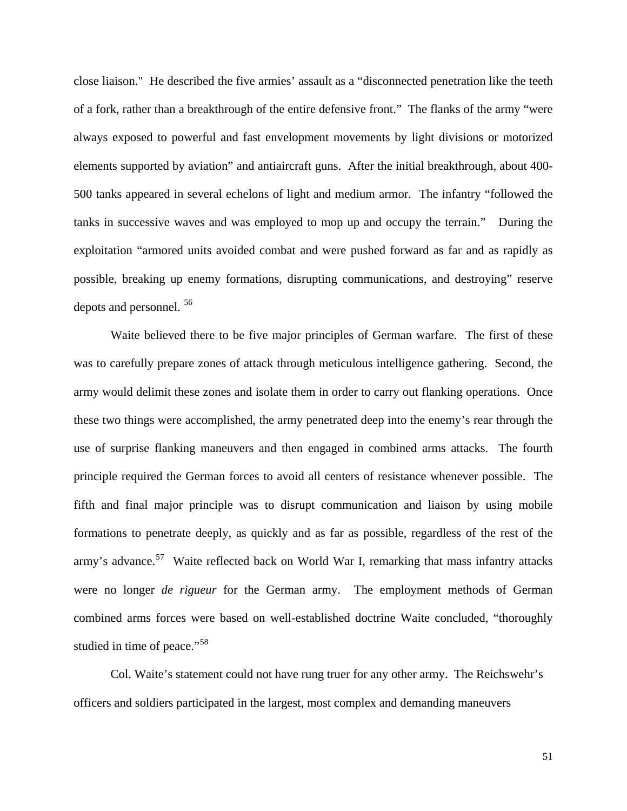[close liaison." He described the five armies' assault as a "disconnected penetration like the teeth](#page-57-0)  [of a fork, rather than a breakthrough of the entire defensive front." The flanks of the army "were](#page-57-0)  [always exposed to powerful and fast envelopment movements by light divisions or motorized](#page-57-0)  [elements supported by aviation" and antiaircraft guns. After the initial breakthrough, about 400-](#page-57-0) [500 tanks appeared in several echelons of light and medium armor. The infantry "followed the](#page-57-0)  [tanks in successive waves and was employed to mop up and occupy the terrain." During the](#page-57-0)  [exploitation "armored units avoided combat and were pushed forward as far and as rapidly as](#page-57-0)  [possible, breaking up ene](#page-57-0)my formations, disrupting communications, and destroying" reserve depots and personnel. [56](#page-57-0)

[combined arms forces were](#page-57-0) based on well-established doctrine Waite concluded, "thoroughly  [Waite believed there to be five major principles of German warfare. The first of these](#page-57-0)  [was to carefully prepare zones of attack through meticulous intelligence gathering. Second, the](#page-57-0)  [army would delimit these zones and isolate them in order to carry out flanking operations. Once](#page-57-0)  [these two things were accomplished, the army penetrated deep into the enemy's rear through the](#page-57-0)  [use of surprise flanking maneuvers and then engaged in combined arms attacks. The fourth](#page-57-0)  [principle required the German forces to avoid all centers of resistance whenever possible. The](#page-57-0)  [fifth and final major principle was to disrupt communication and liaison by using mobile](#page-57-0)  [formations to penetrate deeply, as quickly and as far as possible, regardless of the rest of the](#page-57-0)  [army's advance.](#page-57-0)<sup>57</sup> Waite reflected back on World War I, remarking that mass infantry attacks were no longer *de rigueur* [for the German army. The employment methods of German](#page-57-0)  studied in time of peace."<sup>[58](#page-57-0)</sup>

Col. Waite's statement could not have rung truer for any other army. The Reichswehr's [officers and soldiers participated in the largest, most complex and demanding maneuvers](#page-57-0) 

51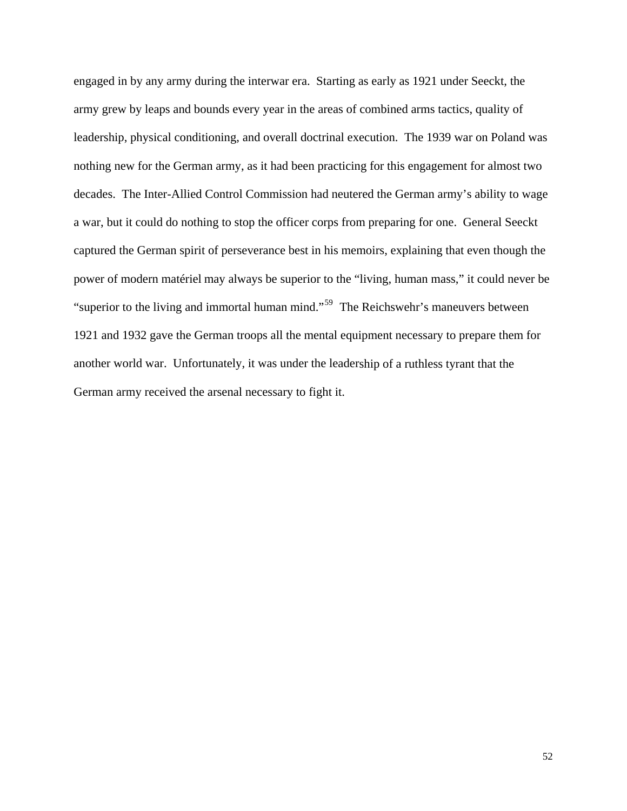[engaged in by any army during the interwar era. Starting as early as 1921 under Seeckt, the](#page-57-0)  [army grew by leaps and bounds every year in the areas of combined arms tactics, quality of](#page-57-0)  [leadership, physical conditioning, and overall doctrinal execution. The 1939 war on Poland was](#page-57-0) [nothing new for the German army, as it had been practicing for this engagement for almost two](#page-57-0)  [decades. The Inter-Allied Control Commission had neutered the German army's ability to wage](#page-57-0) [a war, but it could do nothing to stop the officer corps from preparing for one. General Seeckt](#page-57-0)  [captured the German spirit of perseverance best in his memoirs, explaining that even though the](#page-57-0)  power of modern matériel [may always be superior to the "living, human mass," it could never](#page-57-0) be ["superior to the living and immortal human mind."](#page-57-0)<sup>59</sup> The Reichswehr's maneuvers between [1921 and 1932 gave the German troops all the mental equipment necessary to prepare them](#page-57-0) for [another world war. Unfortunately, it was under the leader](#page-57-0)ship of a ruthless tyrant that the German army received the arsenal necessary to fight it.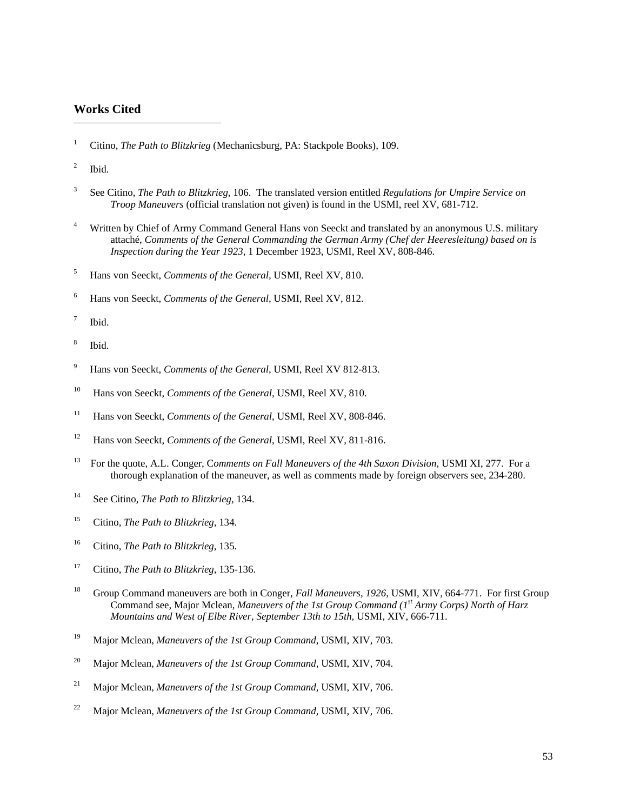#### <span id="page-55-1"></span><span id="page-55-0"></span>**Works Cited**

- 1 Citino, *The Path to Blitzkrieg* (Mechanicsburg, PA: Stackpole Books), 109.
- 2 Ibid.

l

- 3 See Citino, *The Path to Blitzkrieg*, 106. The translated version entitled *Regulations for Umpire Service on Troop Maneuvers* (official translation not given) is found in the USMI, reel XV, 681-712.
- <sup>4</sup> Written by Chief of Army Command General Hans von Seeckt and translated by an anonymous U.S. military *my (Chef der Heeresleitung) based on is*  attaché, *Comments of the General Commanding the German Ar* Inspection during the Year 1923, 1 December 1923, USMI, Reel XV, 808-846.
- 5 Hans von Seeckt, *Comments of the General,* USMI, Reel XV, 810.
- Hans von Seeckt, *Comments of the General*, USMI, Reel XV, 812. 6
- 7 Ibid.
- 8 Ibid.
- <sup>9</sup> Hans von Seeckt, *Comments of the General*, USMI, Reel XV 812-813.
- 10 Hans von Seeckt, *Comments of the General*, USMI, Reel XV, 810.
- <sup>11</sup> Hans von Seeckt, *Comments of the General*, USMI, Reel XV, 808-846.
- 12 Hans von Seeckt, *Comments of the General*, USMI, Reel XV, 811-816.
- <sup>13</sup> For the quote, A.L. Conger, Comments on Fall Maneuvers of the 4th Saxon Division, USMI XI, 277. For a thorough explanation of the maneuver, as well as comments made by foreign observers see, 234-280.
- <sup>14</sup> See Citino, *The Path to Blitzkrieg*, 134.
- 15 Citino, *The Path to Blitzkrieg*, 134.
- 16 Citino, *The Path to Blitzkrieg*, 135.
- 17 Citino, *The Path to Blitzkrieg*, 135-136.
- <sup>18</sup> Group Command maneuvers are both in Conger, *Fall Maneuvers, 1926*, USMI, XIV, 664-771. For first Group Command see, Major Mclean, *Maneuvers of the 1st Group Command* (1<sup>st</sup> Army Corps) North of Harz *Mountains and West of Elbe River, September 13th to 15th, USMI, XIV, 666-711.*
- 19 Major Mclean, *Maneuvers of the 1st Group Command,* USMI, XIV, 703.
- 20 Major Mclean, *Maneuvers of the 1st Group Command,* USMI, XIV, 704.
- 21 Major Mclean, *Maneuvers of the 1st Group Command,* USMI, XIV, 706.
- 22 Major Mclean, *Maneuvers of the 1st Group Command,* USMI, XIV, 706.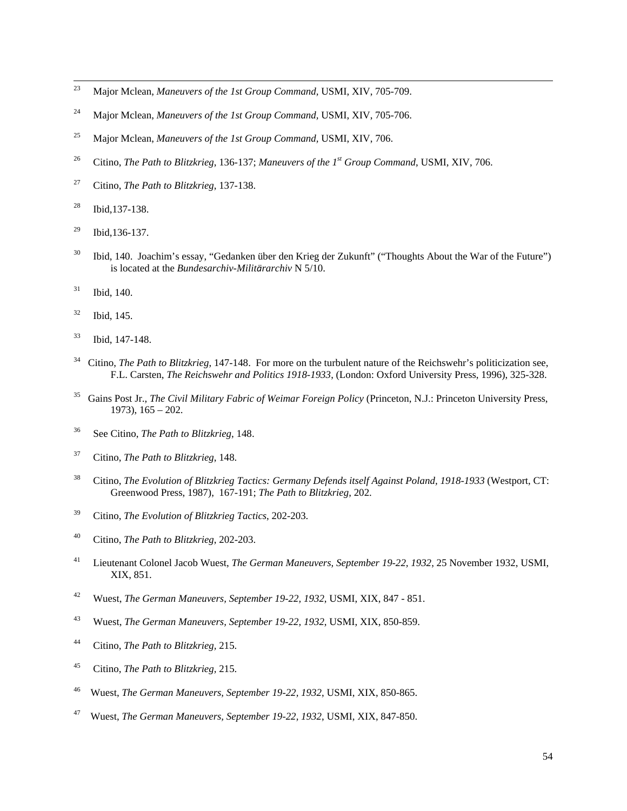- <span id="page-56-0"></span> $\frac{1}{23}$ Major Mclean, *Maneuvers of the 1st Group Command,* USMI, XIV, 705-709.
- Major Mclean, *Maneuvers of the 1st Group Command,* USMI, XIV, 705-706. 24
- Major Mclean, *Maneuvers of the 1st Group Command,* USMI, XIV, 706. 25
- Citino, *The Path to Blitzkrieg*, 136-137; *Maneuvers of the 1st Group Command*, USMI, XIV, 706. 26
- Citino, *The Path to Blitzkrieg*, 137-138. 27
- Ibid,137-138. 28
- $^{29}$  Ibid, 136-137.
- <sup>30</sup> Ibid, 140. Joachim's essay, "Gedanken über den Krieg der Zukunft" ("Thoughts About the War of the Future") is located at the *Bundesarchiv-Militärarchiv* N 5/10.
- Ibid, 140. 31
- Ibid, 145. 32
- $33$  Ibid, 147-148.
- *swehr and Politics 1918-1933*, (London: Oxford University Press, 1996), 325-328. F.L. Carsten, *The Reich* <sup>34</sup> Citino, *The Path to Blitzkrieg*, 147-148. For more on the turbulent nature of the Reichswehr's politicization see,
- <sup>35</sup> Gains Post Jr., *The Civil Military Fabric of Weimar Foreign Policy* (Princeton, N.J.: Princeton University Press, 1973), 165 – 202.
- See Citino, *The Path to Blitzkrieg*, 148. 36
- 37 Citi no, *The Path to Blitzkrieg*, 148.
- <sup>38</sup> Citino, *The Evolution of Blitzkrieg Tactics: Germany Defends itself Against Poland, 1918-1933* (Westport, CT: Greenwood Press, 1987), 167-191; *The Path to Blitzkrieg*, 202.
- Citino, *The Evolution of Blitzkrieg Tactics*, 202-203. 39
- <sup>40</sup> Citino, *The Path to Blitzkrieg*, 202-203.
- <sup>41</sup> Lieutenant Colonel Jacob Wuest, *The German Maneuvers, September 19-22, 1932, 25* November 1932, USMI, XIX, 851.
- Wuest, *The German Maneuvers, September 19-22, 1932*, USMI, XIX, 847 851. 42
- Wuest, *The German Maneuvers, September 19-22, 1932*, USMI, XIX, 850-859. 43
- Citino, *The Path to Blitzkrieg,* 215. 44
- Citino, *The Path to Blitzkrieg,* 215. 45
- Wuest, *The German Maneuvers, September 19-22, 1932*, USMI, XIX, 850-865. 46
- Wuest, *The German Maneuvers, September 19-22, 1932*, USMI, XIX, 847-850. 47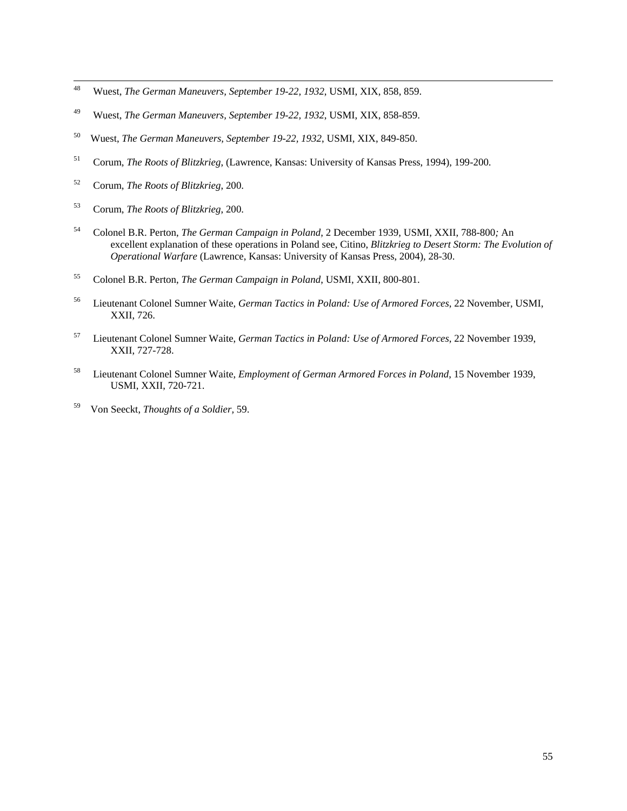- <span id="page-57-0"></span> $\frac{1}{48}$ Wuest, *The German Maneuvers, September 19-22, 1932*, USMI, XIX, 858, 859.
- Wuest, *The German Maneuvers, September 19-22, 1932*, USMI, XIX, 858-859. 49
- Wuest, *The German Maneuvers, September 19-22, 1932*, USMI, XIX, 849-850. 50
- Corum, *The Roots of Blitzkrieg*, (Lawrence, Kansas: University of Kansas Press, 1994), 199-200. 51
- Corum, *The Roots of Blitzkrieg*, 200. 52
- 53 Cor um, *The Roots of Blitzkrieg*, 200.
- Colonel B.R. Perton, *The German Campaign in Poland*, 2 December 1939, USMI, XXII, 788-800*;* An excellent explanation of these operations in Poland see, Citino, *Blitzkrieg to Desert Storm: The Evolution of Operational Warfare* (Lawrence, Kansas: University of Kansas Press, 2004)*,* 28-30. 54
- <sup>55</sup> Colonel B.R. Perton, *The German Campaign in Poland*, USMI, XXII, 800-801.
- , 56 Lieutenant Colonel Sumner Waite, *German Tactics in Poland: Use of Armored Forces*, 22 November, USMI XXII, 726.
- 57 Lieutenant Colonel Sumner Waite, *German Tactics in Poland: Use of Armored Forces*, 22 November 1939, XXII, 727-728.
- <sup>58</sup> Lieutenant Colonel Sumner Waite, *Employment of German Armored Forces in Poland*, 15 November 1939, USMI, XXII, 720-721.
- 59 Von Seeckt, *Thoughts of a Soldier,* 59.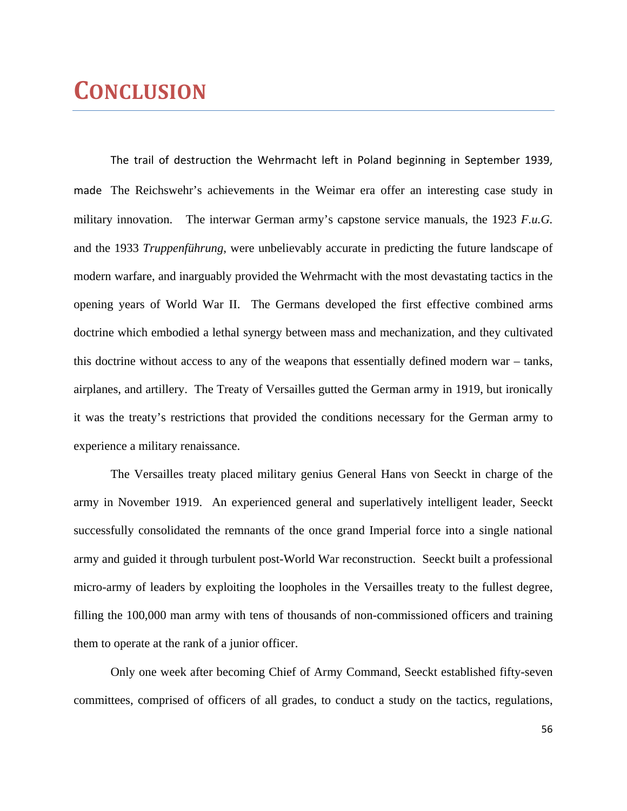# **CONCLUSION**

The trail of destruction the Wehrmacht left in Poland beginning in September 1939, made The Reichswehr's achievements in the Weimar era offer an interesting case study in military innovation. The interwar German army's capstone service manuals, the 1923 *F.u.G.*  and the 1933 *Truppenführung*, were unbelievably accurate in predicting the future landscape of modern warfare, and inarguably provided the Wehrmacht with the most devastating tactics in the opening years of World War II. The Germans developed the first effective combined arms doctrine which embodied a lethal synergy between mass and mechanization, and they cultivated this doctrine without access to any of the weapons that essentially defined modern war – tanks, airplanes, and artillery. The Treaty of Versailles gutted the German army in 1919, but ironically it was the treaty's restrictions that provided the conditions necessary for the German army to experience a military renaissance.

 The Versailles treaty placed military genius General Hans von Seeckt in charge of the army in November 1919. An experienced general and superlatively intelligent leader, Seeckt successfully consolidated the remnants of the once grand Imperial force into a single national army and guided it through turbulent post-World War reconstruction. Seeckt built a professional micro-army of leaders by exploiting the loopholes in the Versailles treaty to the fullest degree, filling the 100,000 man army with tens of thousands of non-commissioned officers and training them to operate at the rank of a junior officer.

 Only one week after becoming Chief of Army Command, Seeckt established fifty-seven committees, comprised of officers of all grades, to conduct a study on the tactics, regulations,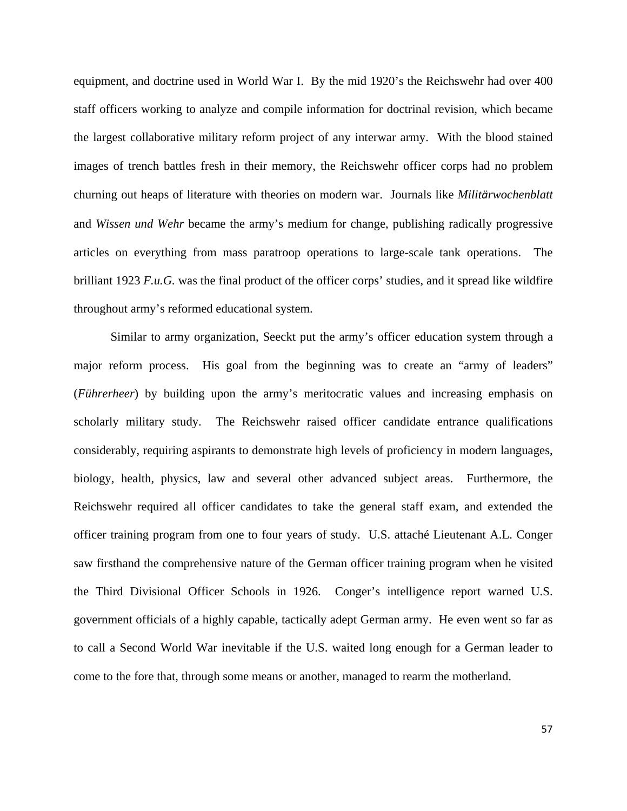equipment, and doctrine used in World War I. By the mid 1920's the Reichswehr had over 400 staff officers working to analyze and compile information for doctrinal revision, which became the largest collaborative military reform project of any interwar army. With the blood stained images of trench battles fresh in their memory, the Reichswehr officer corps had no problem churning out heaps of literature with theories on modern war. Journals like *Militärwochenblatt* and *Wissen und Wehr* became the army's medium for change, publishing radically progressive articles on everything from mass paratroop operations to large-scale tank operations. The brilliant 1923 *F.u.G.* was the final product of the officer corps' studies, and it spread like wildfire throughout army's reformed educational system.

 Similar to army organization, Seeckt put the army's officer education system through a major reform process. His goal from the beginning was to create an "army of leaders" (*Führerheer*) by building upon the army's meritocratic values and increasing emphasis on scholarly military study. The Reichswehr raised officer candidate entrance qualifications considerably, requiring aspirants to demonstrate high levels of proficiency in modern languages, biology, health, physics, law and several other advanced subject areas. Furthermore, the Reichswehr required all officer candidates to take the general staff exam, and extended the officer training program from one to four years of study. U.S. attaché Lieutenant A.L. Conger saw firsthand the comprehensive nature of the German officer training program when he visited the Third Divisional Officer Schools in 1926. Conger's intelligence report warned U.S. government officials of a highly capable, tactically adept German army. He even went so far as to call a Second World War inevitable if the U.S. waited long enough for a German leader to come to the fore that, through some means or another, managed to rearm the motherland.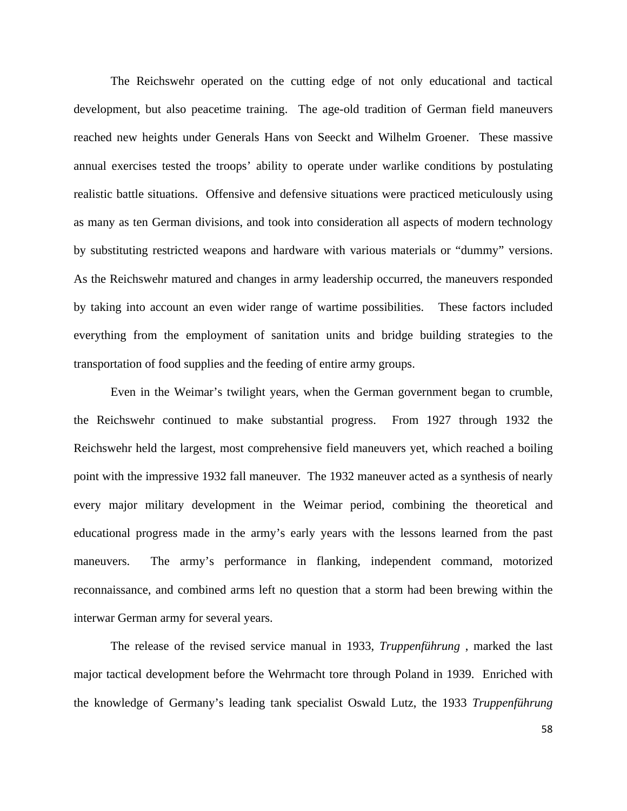The Reichswehr operated on the cutting edge of not only educational and tactical development, but also peacetime training. The age-old tradition of German field maneuvers reached new heights under Generals Hans von Seeckt and Wilhelm Groener. These massive annual exercises tested the troops' ability to operate under warlike conditions by postulating realistic battle situations. Offensive and defensive situations were practiced meticulously using as many as ten German divisions, and took into consideration all aspects of modern technology by substituting restricted weapons and hardware with various materials or "dummy" versions. As the Reichswehr matured and changes in army leadership occurred, the maneuvers responded by taking into account an even wider range of wartime possibilities. These factors included everything from the employment of sanitation units and bridge building strategies to the transportation of food supplies and the feeding of entire army groups.

 Even in the Weimar's twilight years, when the German government began to crumble, the Reichswehr continued to make substantial progress. From 1927 through 1932 the Reichswehr held the largest, most comprehensive field maneuvers yet, which reached a boiling point with the impressive 1932 fall maneuver. The 1932 maneuver acted as a synthesis of nearly every major military development in the Weimar period, combining the theoretical and educational progress made in the army's early years with the lessons learned from the past maneuvers. The army's performance in flanking, independent command, motorized reconnaissance, and combined arms left no question that a storm had been brewing within the interwar German army for several years.

 The release of the revised service manual in 1933, *Truppenführung* , marked the last major tactical development before the Wehrmacht tore through Poland in 1939. Enriched with the knowledge of Germany's leading tank specialist Oswald Lutz, the 1933 *Truppenführung*